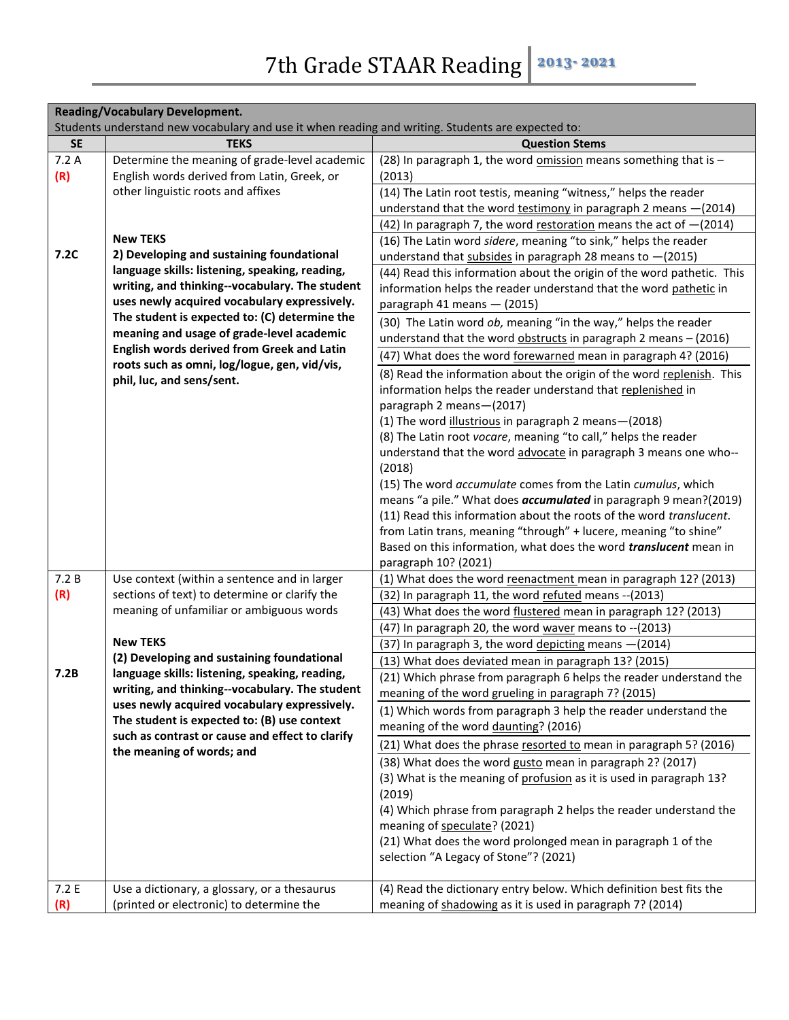| <b>Reading/Vocabulary Development.</b> |                                                                                                   |                                                                                                                            |
|----------------------------------------|---------------------------------------------------------------------------------------------------|----------------------------------------------------------------------------------------------------------------------------|
|                                        | Students understand new vocabulary and use it when reading and writing. Students are expected to: |                                                                                                                            |
| <b>SE</b>                              | <b>TEKS</b>                                                                                       | <b>Question Stems</b>                                                                                                      |
| 7.2A<br>(R)                            | Determine the meaning of grade-level academic<br>English words derived from Latin, Greek, or      | (28) In paragraph 1, the word omission means something that is -<br>(2013)                                                 |
|                                        | other linguistic roots and affixes                                                                | (14) The Latin root testis, meaning "witness," helps the reader                                                            |
|                                        |                                                                                                   | understand that the word testimony in paragraph 2 means $-(2014)$                                                          |
|                                        |                                                                                                   | (42) In paragraph 7, the word restoration means the act of $-(2014)$                                                       |
|                                        | <b>New TEKS</b>                                                                                   | (16) The Latin word sidere, meaning "to sink," helps the reader                                                            |
| 7.2C                                   | 2) Developing and sustaining foundational                                                         | understand that subsides in paragraph 28 means to $-(2015)$                                                                |
|                                        | language skills: listening, speaking, reading,                                                    | (44) Read this information about the origin of the word pathetic. This                                                     |
|                                        | writing, and thinking--vocabulary. The student                                                    | information helps the reader understand that the word pathetic in                                                          |
|                                        | uses newly acquired vocabulary expressively.                                                      | paragraph 41 means - (2015)                                                                                                |
|                                        | The student is expected to: (C) determine the                                                     | (30) The Latin word ob, meaning "in the way," helps the reader                                                             |
|                                        | meaning and usage of grade-level academic                                                         | understand that the word obstructs in paragraph 2 means - (2016)                                                           |
|                                        | English words derived from Greek and Latin<br>roots such as omni, log/logue, gen, vid/vis,        | (47) What does the word forewarned mean in paragraph 4? (2016)                                                             |
|                                        | phil, luc, and sens/sent.                                                                         | (8) Read the information about the origin of the word replenish. This                                                      |
|                                        |                                                                                                   | information helps the reader understand that replenished in                                                                |
|                                        |                                                                                                   | paragraph 2 means-(2017)                                                                                                   |
|                                        |                                                                                                   | (1) The word illustrious in paragraph 2 means-(2018)                                                                       |
|                                        |                                                                                                   | (8) The Latin root vocare, meaning "to call," helps the reader                                                             |
|                                        |                                                                                                   | understand that the word advocate in paragraph 3 means one who--<br>(2018)                                                 |
|                                        |                                                                                                   | (15) The word accumulate comes from the Latin cumulus, which                                                               |
|                                        |                                                                                                   | means "a pile." What does <i>accumulated</i> in paragraph 9 mean?(2019)                                                    |
|                                        |                                                                                                   | (11) Read this information about the roots of the word translucent.                                                        |
|                                        |                                                                                                   | from Latin trans, meaning "through" + lucere, meaning "to shine"                                                           |
|                                        |                                                                                                   | Based on this information, what does the word <i>translucent</i> mean in                                                   |
|                                        |                                                                                                   | paragraph 10? (2021)                                                                                                       |
| 7.2B                                   | Use context (within a sentence and in larger                                                      | (1) What does the word reenactment mean in paragraph 12? (2013)                                                            |
| (R)                                    | sections of text) to determine or clarify the                                                     | (32) In paragraph 11, the word refuted means -- (2013)                                                                     |
|                                        | meaning of unfamiliar or ambiguous words                                                          | (43) What does the word flustered mean in paragraph 12? (2013)                                                             |
|                                        | <b>New TEKS</b>                                                                                   | (47) In paragraph 20, the word waver means to -- (2013)                                                                    |
|                                        | (2) Developing and sustaining foundational                                                        | (37) In paragraph 3, the word depicting means - (2014)                                                                     |
| 7.2B                                   | language skills: listening, speaking, reading,                                                    | (13) What does deviated mean in paragraph 13? (2015)<br>(21) Which phrase from paragraph 6 helps the reader understand the |
|                                        | writing, and thinking--vocabulary. The student                                                    | meaning of the word grueling in paragraph 7? (2015)                                                                        |
|                                        | uses newly acquired vocabulary expressively.                                                      | (1) Which words from paragraph 3 help the reader understand the                                                            |
|                                        | The student is expected to: (B) use context                                                       | meaning of the word daunting? (2016)                                                                                       |
|                                        | such as contrast or cause and effect to clarify                                                   |                                                                                                                            |
|                                        | the meaning of words; and                                                                         | (21) What does the phrase resorted to mean in paragraph 5? (2016)                                                          |
|                                        |                                                                                                   | (38) What does the word gusto mean in paragraph 2? (2017)                                                                  |
|                                        |                                                                                                   | (3) What is the meaning of profusion as it is used in paragraph 13?                                                        |
|                                        |                                                                                                   | (2019)<br>(4) Which phrase from paragraph 2 helps the reader understand the                                                |
|                                        |                                                                                                   | meaning of speculate? (2021)                                                                                               |
|                                        |                                                                                                   | (21) What does the word prolonged mean in paragraph 1 of the                                                               |
|                                        |                                                                                                   | selection "A Legacy of Stone"? (2021)                                                                                      |
|                                        |                                                                                                   |                                                                                                                            |
| 7.2E                                   | Use a dictionary, a glossary, or a thesaurus                                                      | (4) Read the dictionary entry below. Which definition best fits the                                                        |
| (R)                                    | (printed or electronic) to determine the                                                          | meaning of shadowing as it is used in paragraph 7? (2014)                                                                  |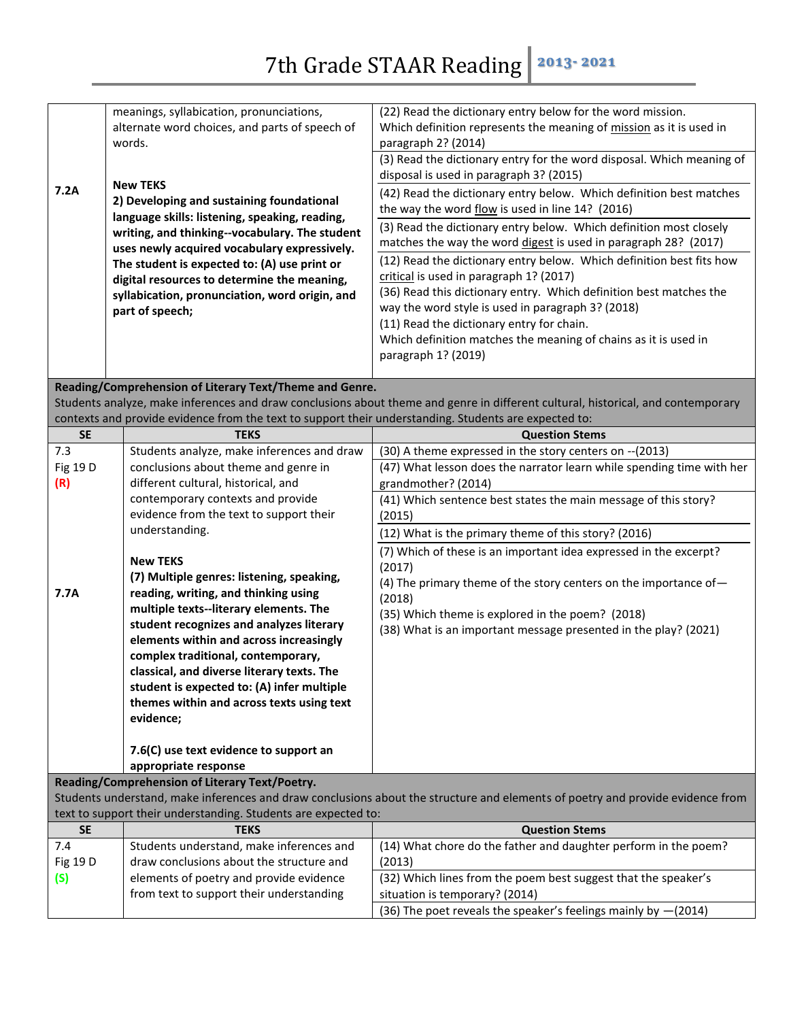|                 | meanings, syllabication, pronunciations,                                                              | (22) Read the dictionary entry below for the word mission.                                                                       |
|-----------------|-------------------------------------------------------------------------------------------------------|----------------------------------------------------------------------------------------------------------------------------------|
|                 | alternate word choices, and parts of speech of                                                        | Which definition represents the meaning of mission as it is used in                                                              |
|                 | words.                                                                                                | paragraph 2? (2014)                                                                                                              |
|                 |                                                                                                       | (3) Read the dictionary entry for the word disposal. Which meaning of                                                            |
|                 |                                                                                                       | disposal is used in paragraph 3? (2015)                                                                                          |
| 7.2A            | <b>New TEKS</b>                                                                                       | (42) Read the dictionary entry below. Which definition best matches                                                              |
|                 | 2) Developing and sustaining foundational                                                             | the way the word flow is used in line 14? (2016)                                                                                 |
|                 | language skills: listening, speaking, reading,                                                        | (3) Read the dictionary entry below. Which definition most closely                                                               |
|                 | writing, and thinking--vocabulary. The student                                                        | matches the way the word digest is used in paragraph 28? (2017)                                                                  |
|                 | uses newly acquired vocabulary expressively.                                                          |                                                                                                                                  |
|                 | The student is expected to: (A) use print or                                                          | (12) Read the dictionary entry below. Which definition best fits how                                                             |
|                 | digital resources to determine the meaning,                                                           | critical is used in paragraph 1? (2017)                                                                                          |
|                 | syllabication, pronunciation, word origin, and                                                        | (36) Read this dictionary entry. Which definition best matches the                                                               |
|                 | part of speech;                                                                                       | way the word style is used in paragraph 3? (2018)                                                                                |
|                 |                                                                                                       | (11) Read the dictionary entry for chain.                                                                                        |
|                 |                                                                                                       | Which definition matches the meaning of chains as it is used in                                                                  |
|                 |                                                                                                       | paragraph 1? (2019)                                                                                                              |
|                 |                                                                                                       |                                                                                                                                  |
|                 | Reading/Comprehension of Literary Text/Theme and Genre.                                               |                                                                                                                                  |
|                 |                                                                                                       | Students analyze, make inferences and draw conclusions about theme and genre in different cultural, historical, and contemporary |
|                 | contexts and provide evidence from the text to support their understanding. Students are expected to: |                                                                                                                                  |
| <b>SE</b>       | <b>TEKS</b>                                                                                           | <b>Question Stems</b>                                                                                                            |
| 7.3             | Students analyze, make inferences and draw                                                            | (30) A theme expressed in the story centers on -- (2013)                                                                         |
| Fig 19 D        | conclusions about theme and genre in                                                                  | (47) What lesson does the narrator learn while spending time with her                                                            |
| (R)             | different cultural, historical, and                                                                   | grandmother? (2014)                                                                                                              |
|                 | contemporary contexts and provide                                                                     | (41) Which sentence best states the main message of this story?                                                                  |
|                 | evidence from the text to support their                                                               | (2015)                                                                                                                           |
|                 | understanding.                                                                                        | (12) What is the primary theme of this story? (2016)                                                                             |
|                 |                                                                                                       | (7) Which of these is an important idea expressed in the excerpt?                                                                |
|                 | <b>New TEKS</b>                                                                                       | (2017)                                                                                                                           |
|                 | (7) Multiple genres: listening, speaking,                                                             | (4) The primary theme of the story centers on the importance of-                                                                 |
| 7.7A            | reading, writing, and thinking using                                                                  | (2018)                                                                                                                           |
|                 | multiple texts--literary elements. The                                                                | (35) Which theme is explored in the poem? (2018)                                                                                 |
|                 | student recognizes and analyzes literary                                                              | (38) What is an important message presented in the play? (2021)                                                                  |
|                 | elements within and across increasingly                                                               |                                                                                                                                  |
|                 | complex traditional, contemporary,                                                                    |                                                                                                                                  |
|                 | classical, and diverse literary texts. The                                                            |                                                                                                                                  |
|                 | student is expected to: (A) infer multiple                                                            |                                                                                                                                  |
|                 | themes within and across texts using text                                                             |                                                                                                                                  |
|                 | evidence;                                                                                             |                                                                                                                                  |
|                 |                                                                                                       |                                                                                                                                  |
|                 |                                                                                                       |                                                                                                                                  |
|                 | 7.6(C) use text evidence to support an                                                                |                                                                                                                                  |
|                 | appropriate response                                                                                  |                                                                                                                                  |
|                 | Reading/Comprehension of Literary Text/Poetry.                                                        |                                                                                                                                  |
|                 |                                                                                                       |                                                                                                                                  |
|                 | text to support their understanding. Students are expected to:                                        | Students understand, make inferences and draw conclusions about the structure and elements of poetry and provide evidence from   |
| <b>SE</b>       | <b>TEKS</b>                                                                                           | <b>Question Stems</b>                                                                                                            |
| 7.4             |                                                                                                       |                                                                                                                                  |
|                 | Students understand, make inferences and                                                              | (14) What chore do the father and daughter perform in the poem?                                                                  |
| <b>Fig 19 D</b> | draw conclusions about the structure and                                                              | (2013)                                                                                                                           |
| (S)             | elements of poetry and provide evidence                                                               | (32) Which lines from the poem best suggest that the speaker's                                                                   |
|                 | from text to support their understanding                                                              | situation is temporary? (2014)<br>(36) The poet reveals the speaker's feelings mainly by -(2014)                                 |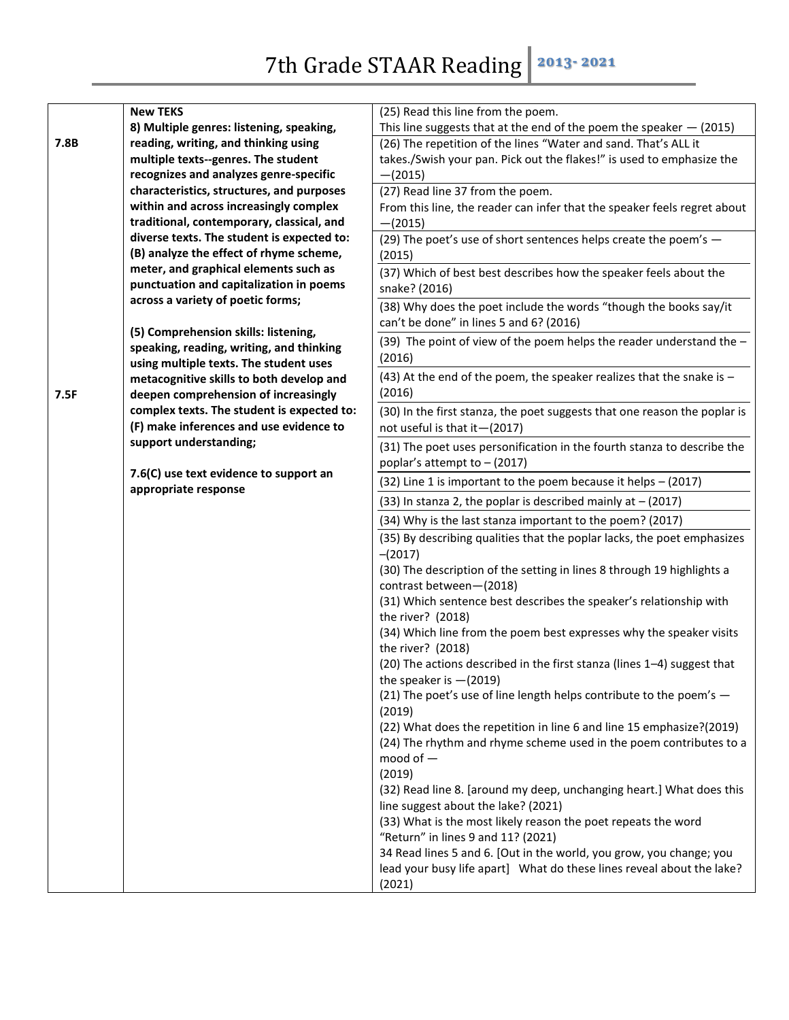|      | <b>New TEKS</b>                                                                  | (25) Read this line from the poem.                                                      |
|------|----------------------------------------------------------------------------------|-----------------------------------------------------------------------------------------|
|      | 8) Multiple genres: listening, speaking,                                         | This line suggests that at the end of the poem the speaker $-$ (2015)                   |
| 7.8B | reading, writing, and thinking using                                             | (26) The repetition of the lines "Water and sand. That's ALL it                         |
|      | multiple texts--genres. The student                                              | takes./Swish your pan. Pick out the flakes!" is used to emphasize the                   |
|      | recognizes and analyzes genre-specific                                           | $-(2015)$                                                                               |
|      | characteristics, structures, and purposes                                        | (27) Read line 37 from the poem.                                                        |
|      | within and across increasingly complex                                           | From this line, the reader can infer that the speaker feels regret about                |
|      | traditional, contemporary, classical, and                                        | $-(2015)$                                                                               |
|      | diverse texts. The student is expected to:                                       | (29) The poet's use of short sentences helps create the poem's -                        |
|      | (B) analyze the effect of rhyme scheme,                                          | (2015)                                                                                  |
|      | meter, and graphical elements such as                                            | (37) Which of best best describes how the speaker feels about the                       |
|      | punctuation and capitalization in poems                                          | snake? (2016)                                                                           |
|      | across a variety of poetic forms;                                                | (38) Why does the poet include the words "though the books say/it                       |
|      |                                                                                  | can't be done" in lines 5 and 6? (2016)                                                 |
|      | (5) Comprehension skills: listening,                                             | (39) The point of view of the poem helps the reader understand the $-$                  |
|      | speaking, reading, writing, and thinking                                         | (2016)                                                                                  |
|      | using multiple texts. The student uses                                           | (43) At the end of the poem, the speaker realizes that the snake is $-$                 |
| 7.5F | metacognitive skills to both develop and<br>deepen comprehension of increasingly | (2016)                                                                                  |
|      | complex texts. The student is expected to:                                       |                                                                                         |
|      | (F) make inferences and use evidence to                                          | (30) In the first stanza, the poet suggests that one reason the poplar is               |
|      | support understanding;                                                           | not useful is that it - (2017)                                                          |
|      |                                                                                  | (31) The poet uses personification in the fourth stanza to describe the                 |
|      | 7.6(C) use text evidence to support an                                           | poplar's attempt to $-$ (2017)                                                          |
|      | appropriate response                                                             | (32) Line 1 is important to the poem because it helps - (2017)                          |
|      |                                                                                  | $(33)$ In stanza 2, the poplar is described mainly at $- (2017)$                        |
|      |                                                                                  | (34) Why is the last stanza important to the poem? (2017)                               |
|      |                                                                                  | (35) By describing qualities that the poplar lacks, the poet emphasizes                 |
|      |                                                                                  | $-(2017)$                                                                               |
|      |                                                                                  | (30) The description of the setting in lines 8 through 19 highlights a                  |
|      |                                                                                  | contrast between-(2018)                                                                 |
|      |                                                                                  | (31) Which sentence best describes the speaker's relationship with<br>the river? (2018) |
|      |                                                                                  | (34) Which line from the poem best expresses why the speaker visits                     |
|      |                                                                                  | the river? (2018)                                                                       |
|      |                                                                                  | (20) The actions described in the first stanza (lines 1-4) suggest that                 |
|      |                                                                                  | the speaker is $-(2019)$                                                                |
|      |                                                                                  | (21) The poet's use of line length helps contribute to the poem's -                     |
|      |                                                                                  | (2019)                                                                                  |
|      |                                                                                  | (22) What does the repetition in line 6 and line 15 emphasize?(2019)                    |
|      |                                                                                  | (24) The rhythm and rhyme scheme used in the poem contributes to a                      |
|      |                                                                                  | mood of $-$                                                                             |
|      |                                                                                  | (2019)                                                                                  |
|      |                                                                                  | (32) Read line 8. [around my deep, unchanging heart.] What does this                    |
|      |                                                                                  | line suggest about the lake? (2021)                                                     |
|      |                                                                                  | (33) What is the most likely reason the poet repeats the word                           |
|      |                                                                                  | "Return" in lines 9 and 11? (2021)                                                      |
|      |                                                                                  | 34 Read lines 5 and 6. [Out in the world, you grow, you change; you                     |
|      |                                                                                  | lead your busy life apart] What do these lines reveal about the lake?                   |
|      |                                                                                  | (2021)                                                                                  |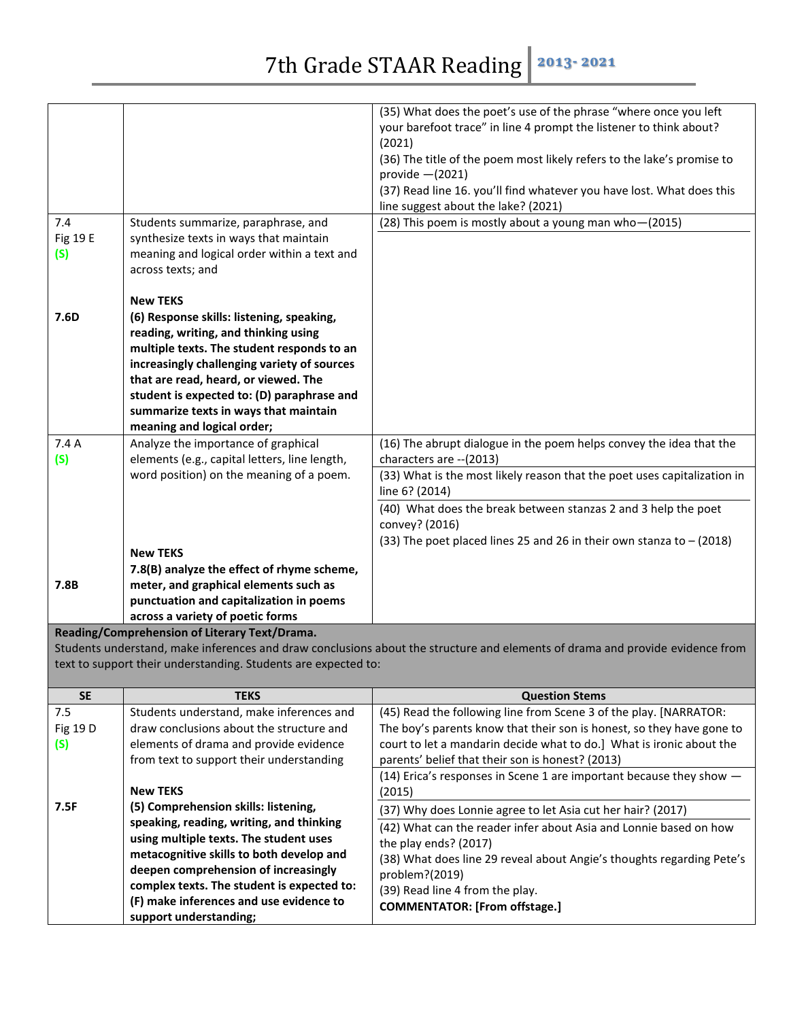|           |                                                                                   | (35) What does the poet's use of the phrase "where once you left<br>your barefoot trace" in line 4 prompt the listener to think about?<br>(2021) |
|-----------|-----------------------------------------------------------------------------------|--------------------------------------------------------------------------------------------------------------------------------------------------|
|           |                                                                                   | (36) The title of the poem most likely refers to the lake's promise to                                                                           |
|           |                                                                                   | provide $-(2021)$                                                                                                                                |
|           |                                                                                   | (37) Read line 16. you'll find whatever you have lost. What does this                                                                            |
|           |                                                                                   | line suggest about the lake? (2021)                                                                                                              |
| 7.4       | Students summarize, paraphrase, and                                               | (28) This poem is mostly about a young man who-(2015)                                                                                            |
| Fig 19 E  | synthesize texts in ways that maintain                                            |                                                                                                                                                  |
| (S)       | meaning and logical order within a text and                                       |                                                                                                                                                  |
|           | across texts; and                                                                 |                                                                                                                                                  |
|           | <b>New TEKS</b>                                                                   |                                                                                                                                                  |
| 7.6D      | (6) Response skills: listening, speaking,                                         |                                                                                                                                                  |
|           | reading, writing, and thinking using                                              |                                                                                                                                                  |
|           | multiple texts. The student responds to an                                        |                                                                                                                                                  |
|           | increasingly challenging variety of sources                                       |                                                                                                                                                  |
|           | that are read, heard, or viewed. The                                              |                                                                                                                                                  |
|           | student is expected to: (D) paraphrase and                                        |                                                                                                                                                  |
|           | summarize texts in ways that maintain                                             |                                                                                                                                                  |
|           | meaning and logical order;                                                        |                                                                                                                                                  |
| 7.4A      | Analyze the importance of graphical                                               | (16) The abrupt dialogue in the poem helps convey the idea that the                                                                              |
| (S)       | elements (e.g., capital letters, line length,                                     | characters are -- (2013)                                                                                                                         |
|           | word position) on the meaning of a poem.                                          | (33) What is the most likely reason that the poet uses capitalization in<br>line 6? (2014)                                                       |
|           |                                                                                   | (40) What does the break between stanzas 2 and 3 help the poet                                                                                   |
|           |                                                                                   | convey? (2016)                                                                                                                                   |
|           |                                                                                   | (33) The poet placed lines 25 and 26 in their own stanza to $-$ (2018)                                                                           |
|           | <b>New TEKS</b>                                                                   |                                                                                                                                                  |
|           | 7.8(B) analyze the effect of rhyme scheme,                                        |                                                                                                                                                  |
| 7.8B      | meter, and graphical elements such as                                             |                                                                                                                                                  |
|           | punctuation and capitalization in poems                                           |                                                                                                                                                  |
|           | across a variety of poetic forms<br>Reading/Comprehension of Literary Text/Drama. |                                                                                                                                                  |
|           |                                                                                   | Students understand, make inferences and draw conclusions about the structure and elements of drama and provide evidence from                    |
|           | text to support their understanding. Students are expected to:                    |                                                                                                                                                  |
|           |                                                                                   |                                                                                                                                                  |
| <b>SE</b> | <b>TEKS</b>                                                                       | <b>Question Stems</b>                                                                                                                            |
| 7.5       | Students understand, make inferences and                                          | (45) Read the following line from Scene 3 of the play. [NARRATOR:                                                                                |
| Fig 19 D  | draw conclusions about the structure and                                          | The boy's parents know that their son is honest, so they have gone to                                                                            |
| (S)       | elements of drama and provide evidence                                            | court to let a mandarin decide what to do.] What is ironic about the                                                                             |
|           |                                                                                   |                                                                                                                                                  |
|           | from text to support their understanding                                          | parents' belief that their son is honest? (2013)                                                                                                 |
|           |                                                                                   | (14) Erica's responses in Scene 1 are important because they show $-$                                                                            |
|           | <b>New TEKS</b>                                                                   | (2015)                                                                                                                                           |
| 7.5F      | (5) Comprehension skills: listening,                                              | (37) Why does Lonnie agree to let Asia cut her hair? (2017)                                                                                      |
|           | speaking, reading, writing, and thinking                                          | (42) What can the reader infer about Asia and Lonnie based on how                                                                                |
|           | using multiple texts. The student uses                                            | the play ends? (2017)                                                                                                                            |
|           | metacognitive skills to both develop and<br>deepen comprehension of increasingly  | (38) What does line 29 reveal about Angie's thoughts regarding Pete's                                                                            |
|           | complex texts. The student is expected to:                                        | problem?(2019)<br>(39) Read line 4 from the play.                                                                                                |

**COMMENTATOR: [From offstage.]**

**support understanding;**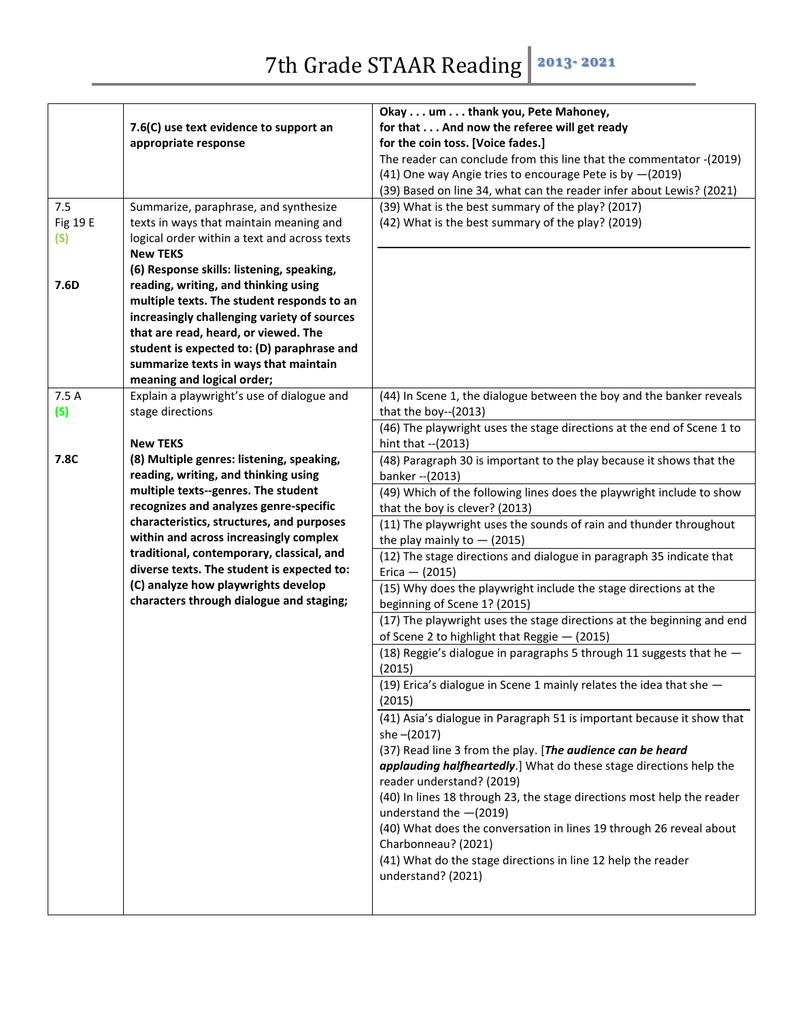|          |                                              | Okay um thank you, Pete Mahoney,                                       |
|----------|----------------------------------------------|------------------------------------------------------------------------|
|          | 7.6(C) use text evidence to support an       | for that And now the referee will get ready                            |
|          | appropriate response                         | for the coin toss. [Voice fades.]                                      |
|          |                                              | The reader can conclude from this line that the commentator -(2019)    |
|          |                                              | (41) One way Angie tries to encourage Pete is by -(2019)               |
|          |                                              | (39) Based on line 34, what can the reader infer about Lewis? (2021)   |
| 7.5      | Summarize, paraphrase, and synthesize        | (39) What is the best summary of the play? (2017)                      |
| Fig 19 E | texts in ways that maintain meaning and      | (42) What is the best summary of the play? (2019)                      |
| (S)      | logical order within a text and across texts |                                                                        |
|          | <b>New TEKS</b>                              |                                                                        |
|          | (6) Response skills: listening, speaking,    |                                                                        |
| 7.6D     | reading, writing, and thinking using         |                                                                        |
|          | multiple texts. The student responds to an   |                                                                        |
|          | increasingly challenging variety of sources  |                                                                        |
|          | that are read, heard, or viewed. The         |                                                                        |
|          | student is expected to: (D) paraphrase and   |                                                                        |
|          | summarize texts in ways that maintain        |                                                                        |
|          | meaning and logical order;                   |                                                                        |
| 7.5 A    | Explain a playwright's use of dialogue and   | (44) In Scene 1, the dialogue between the boy and the banker reveals   |
| (S)      | stage directions                             | that the boy--(2013)                                                   |
|          |                                              | (46) The playwright uses the stage directions at the end of Scene 1 to |
|          | <b>New TEKS</b>                              | hint that -- (2013)                                                    |
| 7.8C     | (8) Multiple genres: listening, speaking,    | (48) Paragraph 30 is important to the play because it shows that the   |
|          | reading, writing, and thinking using         | banker -- (2013)                                                       |
|          | multiple texts--genres. The student          | (49) Which of the following lines does the playwright include to show  |
|          | recognizes and analyzes genre-specific       | that the boy is clever? (2013)                                         |
|          | characteristics, structures, and purposes    | (11) The playwright uses the sounds of rain and thunder throughout     |
|          | within and across increasingly complex       | the play mainly to $-$ (2015)                                          |
|          | traditional, contemporary, classical, and    | (12) The stage directions and dialogue in paragraph 35 indicate that   |
|          | diverse texts. The student is expected to:   | $Erica - (2015)$                                                       |
|          | (C) analyze how playwrights develop          | (15) Why does the playwright include the stage directions at the       |
|          | characters through dialogue and staging;     | beginning of Scene 1? (2015)                                           |
|          |                                              | (17) The playwright uses the stage directions at the beginning and end |
|          |                                              | of Scene 2 to highlight that Reggie - (2015)                           |
|          |                                              | (18) Reggie's dialogue in paragraphs 5 through 11 suggests that he -   |
|          |                                              | (2015)                                                                 |
|          |                                              | (19) Erica's dialogue in Scene 1 mainly relates the idea that she -    |
|          |                                              | (2015)                                                                 |
|          |                                              | (41) Asia's dialogue in Paragraph 51 is important because it show that |
|          |                                              | she -(2017)                                                            |
|          |                                              | (37) Read line 3 from the play. [The audience can be heard             |
|          |                                              | applauding halfheartedly.] What do these stage directions help the     |
|          |                                              | reader understand? (2019)                                              |
|          |                                              | (40) In lines 18 through 23, the stage directions most help the reader |
|          |                                              | understand the $-(2019)$                                               |
|          |                                              | (40) What does the conversation in lines 19 through 26 reveal about    |
|          |                                              | Charbonneau? (2021)                                                    |
|          |                                              | (41) What do the stage directions in line 12 help the reader           |
|          |                                              | understand? (2021)                                                     |
|          |                                              |                                                                        |
|          |                                              |                                                                        |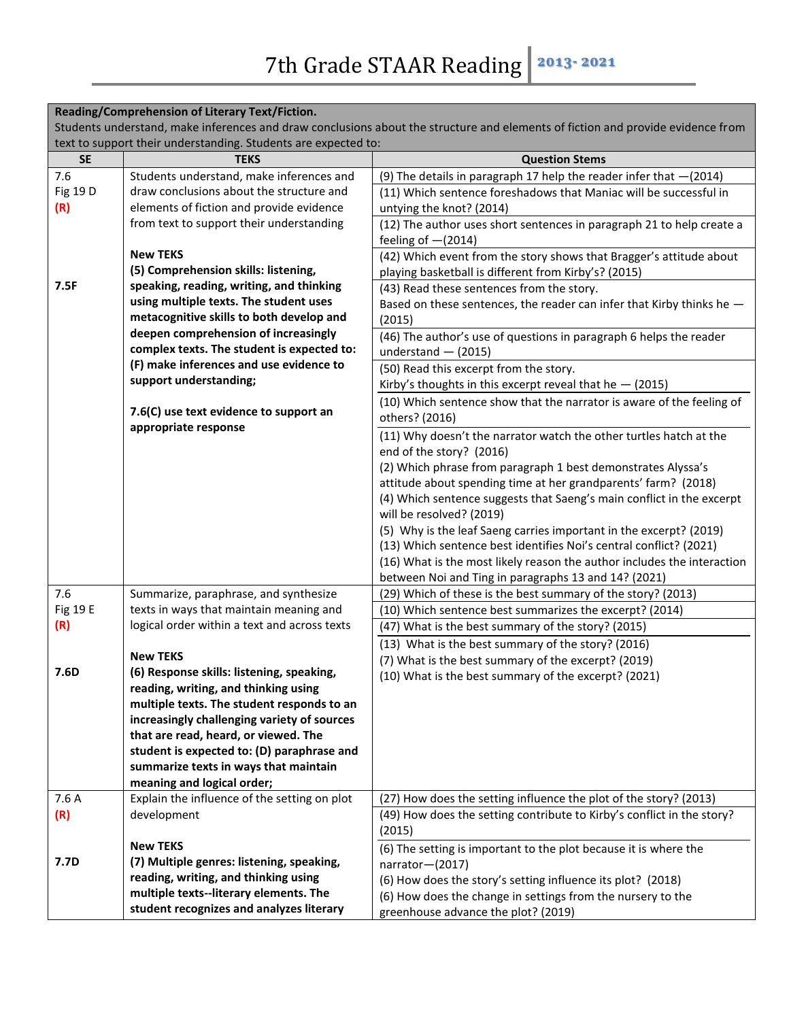| Reading/Comprehension of Literary Text/Fiction.                                                                                 |                                                                                    |                                                                                                                                          |  |
|---------------------------------------------------------------------------------------------------------------------------------|------------------------------------------------------------------------------------|------------------------------------------------------------------------------------------------------------------------------------------|--|
| Students understand, make inferences and draw conclusions about the structure and elements of fiction and provide evidence from |                                                                                    |                                                                                                                                          |  |
|                                                                                                                                 | text to support their understanding. Students are expected to:                     |                                                                                                                                          |  |
| <b>SE</b>                                                                                                                       | <b>TEKS</b>                                                                        | <b>Question Stems</b>                                                                                                                    |  |
| 7.6                                                                                                                             | Students understand, make inferences and                                           | (9) The details in paragraph 17 help the reader infer that $-(2014)$                                                                     |  |
| Fig 19 D                                                                                                                        | draw conclusions about the structure and                                           | (11) Which sentence foreshadows that Maniac will be successful in                                                                        |  |
| (R)                                                                                                                             | elements of fiction and provide evidence                                           | untying the knot? (2014)                                                                                                                 |  |
|                                                                                                                                 | from text to support their understanding                                           | (12) The author uses short sentences in paragraph 21 to help create a                                                                    |  |
|                                                                                                                                 |                                                                                    | feeling of $-(2014)$                                                                                                                     |  |
|                                                                                                                                 | <b>New TEKS</b>                                                                    | (42) Which event from the story shows that Bragger's attitude about                                                                      |  |
|                                                                                                                                 | (5) Comprehension skills: listening,                                               | playing basketball is different from Kirby's? (2015)                                                                                     |  |
| 7.5F                                                                                                                            | speaking, reading, writing, and thinking                                           | (43) Read these sentences from the story.                                                                                                |  |
|                                                                                                                                 | using multiple texts. The student uses                                             | Based on these sentences, the reader can infer that Kirby thinks he -                                                                    |  |
|                                                                                                                                 | metacognitive skills to both develop and                                           | (2015)                                                                                                                                   |  |
|                                                                                                                                 | deepen comprehension of increasingly<br>complex texts. The student is expected to: | (46) The author's use of questions in paragraph 6 helps the reader                                                                       |  |
|                                                                                                                                 | (F) make inferences and use evidence to                                            | understand $-$ (2015)                                                                                                                    |  |
|                                                                                                                                 | support understanding;                                                             | (50) Read this excerpt from the story.                                                                                                   |  |
|                                                                                                                                 |                                                                                    | Kirby's thoughts in this excerpt reveal that he $-$ (2015)                                                                               |  |
|                                                                                                                                 | 7.6(C) use text evidence to support an                                             | (10) Which sentence show that the narrator is aware of the feeling of                                                                    |  |
|                                                                                                                                 | appropriate response                                                               | others? (2016)                                                                                                                           |  |
|                                                                                                                                 |                                                                                    | (11) Why doesn't the narrator watch the other turtles hatch at the                                                                       |  |
|                                                                                                                                 |                                                                                    | end of the story? (2016)                                                                                                                 |  |
|                                                                                                                                 |                                                                                    | (2) Which phrase from paragraph 1 best demonstrates Alyssa's                                                                             |  |
|                                                                                                                                 |                                                                                    | attitude about spending time at her grandparents' farm? (2018)                                                                           |  |
|                                                                                                                                 |                                                                                    | (4) Which sentence suggests that Saeng's main conflict in the excerpt                                                                    |  |
|                                                                                                                                 |                                                                                    | will be resolved? (2019)                                                                                                                 |  |
|                                                                                                                                 |                                                                                    | (5) Why is the leaf Saeng carries important in the excerpt? (2019)<br>(13) Which sentence best identifies Noi's central conflict? (2021) |  |
|                                                                                                                                 |                                                                                    | (16) What is the most likely reason the author includes the interaction                                                                  |  |
|                                                                                                                                 |                                                                                    | between Noi and Ting in paragraphs 13 and 14? (2021)                                                                                     |  |
| 7.6                                                                                                                             | Summarize, paraphrase, and synthesize                                              | (29) Which of these is the best summary of the story? (2013)                                                                             |  |
| Fig 19 E                                                                                                                        | texts in ways that maintain meaning and                                            | (10) Which sentence best summarizes the excerpt? (2014)                                                                                  |  |
| (R)                                                                                                                             | logical order within a text and across texts                                       | (47) What is the best summary of the story? (2015)                                                                                       |  |
|                                                                                                                                 |                                                                                    | (13) What is the best summary of the story? (2016)                                                                                       |  |
|                                                                                                                                 | <b>New TEKS</b>                                                                    | (7) What is the best summary of the excerpt? (2019)                                                                                      |  |
| 7.6D                                                                                                                            | (6) Response skills: listening, speaking,                                          | (10) What is the best summary of the excerpt? (2021)                                                                                     |  |
|                                                                                                                                 | reading, writing, and thinking using                                               |                                                                                                                                          |  |
|                                                                                                                                 | multiple texts. The student responds to an                                         |                                                                                                                                          |  |
|                                                                                                                                 | increasingly challenging variety of sources                                        |                                                                                                                                          |  |
|                                                                                                                                 | that are read, heard, or viewed. The                                               |                                                                                                                                          |  |
|                                                                                                                                 | student is expected to: (D) paraphrase and                                         |                                                                                                                                          |  |
|                                                                                                                                 | summarize texts in ways that maintain                                              |                                                                                                                                          |  |
|                                                                                                                                 | meaning and logical order;                                                         |                                                                                                                                          |  |
| 7.6 A                                                                                                                           | Explain the influence of the setting on plot                                       | (27) How does the setting influence the plot of the story? (2013)                                                                        |  |
| (R)                                                                                                                             | development                                                                        | (49) How does the setting contribute to Kirby's conflict in the story?                                                                   |  |
|                                                                                                                                 |                                                                                    | (2015)                                                                                                                                   |  |
|                                                                                                                                 | <b>New TEKS</b>                                                                    | (6) The setting is important to the plot because it is where the                                                                         |  |
| 7.7D                                                                                                                            | (7) Multiple genres: listening, speaking,                                          | narrator-(2017)                                                                                                                          |  |
|                                                                                                                                 | reading, writing, and thinking using                                               | (6) How does the story's setting influence its plot? (2018)                                                                              |  |
|                                                                                                                                 | multiple texts--literary elements. The                                             | (6) How does the change in settings from the nursery to the                                                                              |  |
|                                                                                                                                 | student recognizes and analyzes literary                                           | greenhouse advance the plot? (2019)                                                                                                      |  |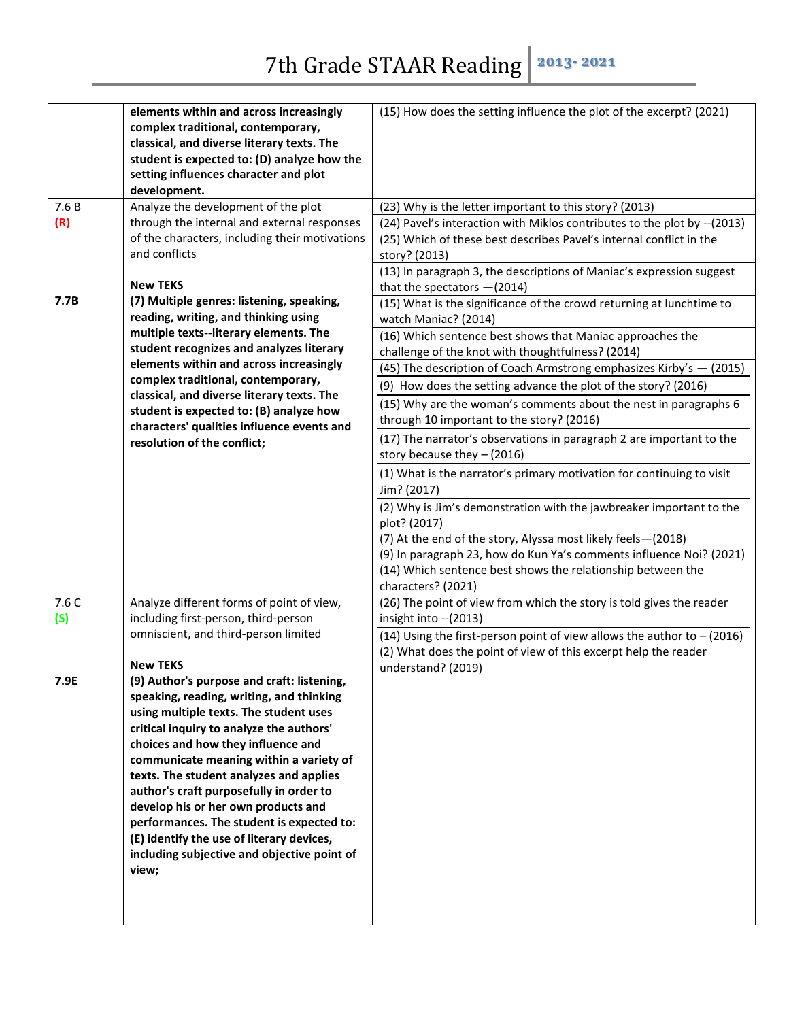| 7.6B<br>(R)  | elements within and across increasingly<br>complex traditional, contemporary,<br>classical, and diverse literary texts. The<br>student is expected to: (D) analyze how the<br>setting influences character and plot<br>development.<br>Analyze the development of the plot<br>through the internal and external responses<br>of the characters, including their motivations<br>and conflicts                                                                                                                                                 | (15) How does the setting influence the plot of the excerpt? (2021)<br>(23) Why is the letter important to this story? (2013)<br>(24) Pavel's interaction with Miklos contributes to the plot by -- (2013)<br>(25) Which of these best describes Pavel's internal conflict in the<br>story? (2013)<br>(13) In paragraph 3, the descriptions of Maniac's expression suggest                                                                                                                                                                                                                                                                                                                          |
|--------------|----------------------------------------------------------------------------------------------------------------------------------------------------------------------------------------------------------------------------------------------------------------------------------------------------------------------------------------------------------------------------------------------------------------------------------------------------------------------------------------------------------------------------------------------|-----------------------------------------------------------------------------------------------------------------------------------------------------------------------------------------------------------------------------------------------------------------------------------------------------------------------------------------------------------------------------------------------------------------------------------------------------------------------------------------------------------------------------------------------------------------------------------------------------------------------------------------------------------------------------------------------------|
| 7.7B         | <b>New TEKS</b><br>(7) Multiple genres: listening, speaking,<br>reading, writing, and thinking using<br>multiple texts--literary elements. The<br>student recognizes and analyzes literary<br>elements within and across increasingly                                                                                                                                                                                                                                                                                                        | that the spectators $-(2014)$<br>(15) What is the significance of the crowd returning at lunchtime to<br>watch Maniac? (2014)<br>(16) Which sentence best shows that Maniac approaches the<br>challenge of the knot with thoughtfulness? (2014)<br>(45) The description of Coach Armstrong emphasizes Kirby's - (2015)                                                                                                                                                                                                                                                                                                                                                                              |
|              | complex traditional, contemporary,<br>classical, and diverse literary texts. The<br>student is expected to: (B) analyze how<br>characters' qualities influence events and<br>resolution of the conflict;                                                                                                                                                                                                                                                                                                                                     | (9) How does the setting advance the plot of the story? (2016)<br>(15) Why are the woman's comments about the nest in paragraphs 6<br>through 10 important to the story? (2016)<br>(17) The narrator's observations in paragraph 2 are important to the<br>story because they $-$ (2016)<br>(1) What is the narrator's primary motivation for continuing to visit<br>Jim? (2017)<br>(2) Why is Jim's demonstration with the jawbreaker important to the<br>plot? (2017)<br>(7) At the end of the story, Alyssa most likely feels-(2018)<br>(9) In paragraph 23, how do Kun Ya's comments influence Noi? (2021)<br>(14) Which sentence best shows the relationship between the<br>characters? (2021) |
| 7.6 C<br>(S) | Analyze different forms of point of view,<br>including first-person, third-person<br>omniscient, and third-person limited<br><b>New TEKS</b>                                                                                                                                                                                                                                                                                                                                                                                                 | (26) The point of view from which the story is told gives the reader<br>insight into -- (2013)<br>(14) Using the first-person point of view allows the author to $-$ (2016)<br>(2) What does the point of view of this excerpt help the reader<br>understand? (2019)                                                                                                                                                                                                                                                                                                                                                                                                                                |
| 7.9E         | (9) Author's purpose and craft: listening,<br>speaking, reading, writing, and thinking<br>using multiple texts. The student uses<br>critical inquiry to analyze the authors'<br>choices and how they influence and<br>communicate meaning within a variety of<br>texts. The student analyzes and applies<br>author's craft purposefully in order to<br>develop his or her own products and<br>performances. The student is expected to:<br>(E) identify the use of literary devices,<br>including subjective and objective point of<br>view; |                                                                                                                                                                                                                                                                                                                                                                                                                                                                                                                                                                                                                                                                                                     |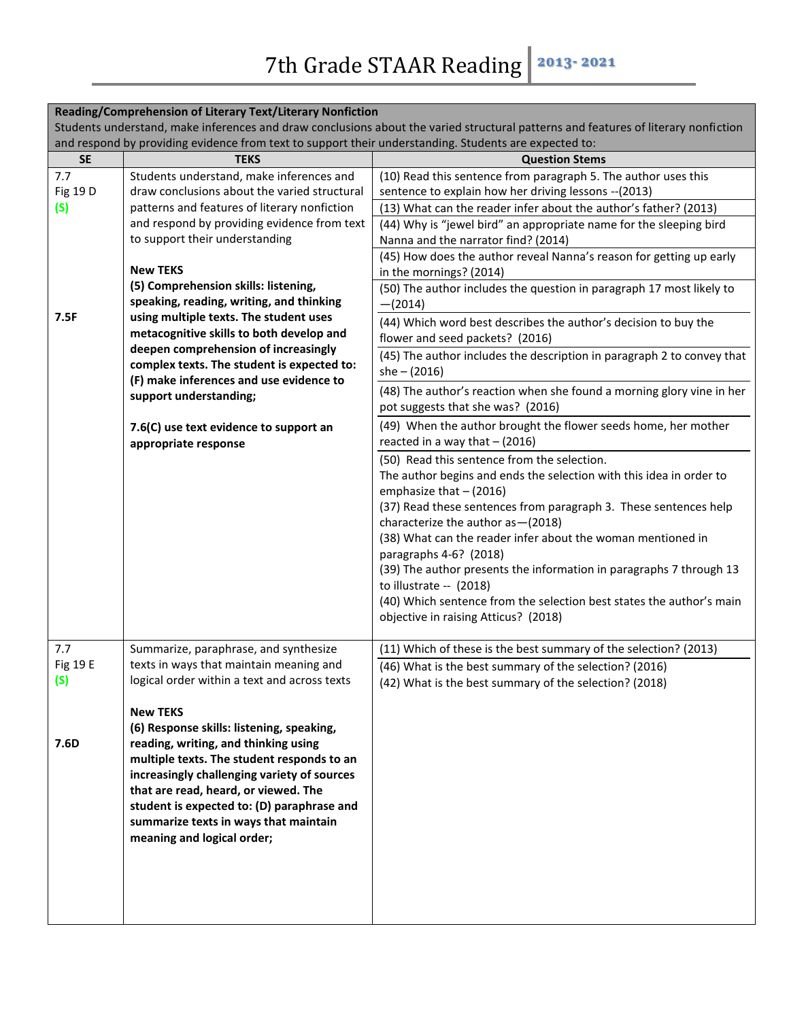| Reading/Comprehension of Literary Text/Literary Nonfiction<br>Students understand, make inferences and draw conclusions about the varied structural patterns and features of literary nonfiction |                                                                                                                                                                                                                                                                                                                                       |                                                                                                                                                                                                                                                                                                                                                                                                                                                                                                                                                                                                                                                                                                                   |
|--------------------------------------------------------------------------------------------------------------------------------------------------------------------------------------------------|---------------------------------------------------------------------------------------------------------------------------------------------------------------------------------------------------------------------------------------------------------------------------------------------------------------------------------------|-------------------------------------------------------------------------------------------------------------------------------------------------------------------------------------------------------------------------------------------------------------------------------------------------------------------------------------------------------------------------------------------------------------------------------------------------------------------------------------------------------------------------------------------------------------------------------------------------------------------------------------------------------------------------------------------------------------------|
| and respond by providing evidence from text to support their understanding. Students are expected to:                                                                                            |                                                                                                                                                                                                                                                                                                                                       |                                                                                                                                                                                                                                                                                                                                                                                                                                                                                                                                                                                                                                                                                                                   |
| <b>SE</b>                                                                                                                                                                                        | <b>TEKS</b>                                                                                                                                                                                                                                                                                                                           | <b>Question Stems</b>                                                                                                                                                                                                                                                                                                                                                                                                                                                                                                                                                                                                                                                                                             |
| 7.7<br>Fig 19 D<br>(S)                                                                                                                                                                           | Students understand, make inferences and<br>draw conclusions about the varied structural<br>patterns and features of literary nonfiction<br>and respond by providing evidence from text<br>to support their understanding                                                                                                             | (10) Read this sentence from paragraph 5. The author uses this<br>sentence to explain how her driving lessons -- (2013)<br>(13) What can the reader infer about the author's father? (2013)<br>(44) Why is "jewel bird" an appropriate name for the sleeping bird<br>Nanna and the narrator find? (2014)                                                                                                                                                                                                                                                                                                                                                                                                          |
| 7.5F                                                                                                                                                                                             | <b>New TEKS</b><br>(5) Comprehension skills: listening,<br>speaking, reading, writing, and thinking<br>using multiple texts. The student uses<br>metacognitive skills to both develop and<br>deepen comprehension of increasingly<br>complex texts. The student is expected to:<br>(F) make inferences and use evidence to            | (45) How does the author reveal Nanna's reason for getting up early<br>in the mornings? (2014)<br>(50) The author includes the question in paragraph 17 most likely to<br>$-(2014)$<br>(44) Which word best describes the author's decision to buy the<br>flower and seed packets? (2016)<br>(45) The author includes the description in paragraph 2 to convey that<br>$she - (2016)$<br>(48) The author's reaction when she found a morning glory vine in her                                                                                                                                                                                                                                                    |
|                                                                                                                                                                                                  | support understanding;<br>7.6(C) use text evidence to support an<br>appropriate response                                                                                                                                                                                                                                              | pot suggests that she was? (2016)<br>(49) When the author brought the flower seeds home, her mother<br>reacted in a way that $-$ (2016)<br>(50) Read this sentence from the selection.<br>The author begins and ends the selection with this idea in order to<br>emphasize that $-$ (2016)<br>(37) Read these sentences from paragraph 3. These sentences help<br>characterize the author as - (2018)<br>(38) What can the reader infer about the woman mentioned in<br>paragraphs 4-6? (2018)<br>(39) The author presents the information in paragraphs 7 through 13<br>to illustrate $-$ (2018)<br>(40) Which sentence from the selection best states the author's main<br>objective in raising Atticus? (2018) |
| 7.7<br>Fig 19 E<br>(s)<br>7.6D                                                                                                                                                                   | Summarize, paraphrase, and synthesize<br>texts in ways that maintain meaning and<br>logical order within a text and across texts<br><b>New TEKS</b><br>(6) Response skills: listening, speaking,<br>reading, writing, and thinking using<br>multiple texts. The student responds to an<br>increasingly challenging variety of sources | (11) Which of these is the best summary of the selection? (2013)<br>(46) What is the best summary of the selection? (2016)<br>(42) What is the best summary of the selection? (2018)                                                                                                                                                                                                                                                                                                                                                                                                                                                                                                                              |
|                                                                                                                                                                                                  | that are read, heard, or viewed. The<br>student is expected to: (D) paraphrase and<br>summarize texts in ways that maintain<br>meaning and logical order;                                                                                                                                                                             |                                                                                                                                                                                                                                                                                                                                                                                                                                                                                                                                                                                                                                                                                                                   |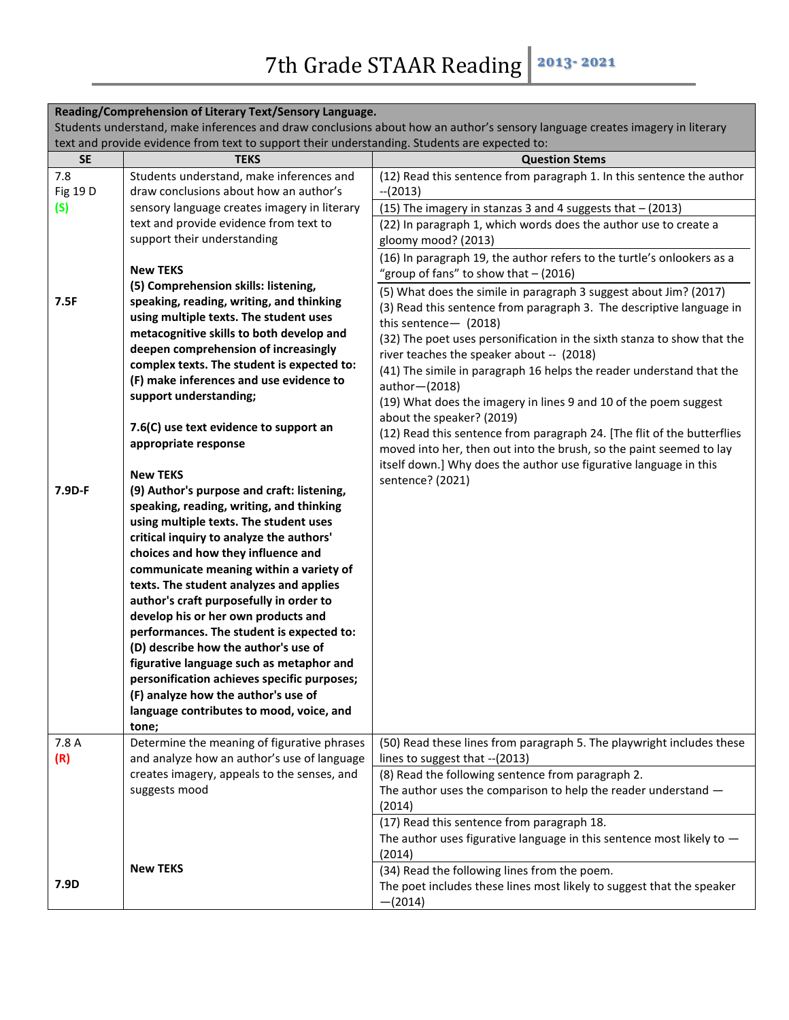| Reading/Comprehension of Literary Text/Sensory Language.                                                                     |                                                                                               |                                                                                                                       |  |
|------------------------------------------------------------------------------------------------------------------------------|-----------------------------------------------------------------------------------------------|-----------------------------------------------------------------------------------------------------------------------|--|
| Students understand, make inferences and draw conclusions about how an author's sensory language creates imagery in literary |                                                                                               |                                                                                                                       |  |
|                                                                                                                              | text and provide evidence from text to support their understanding. Students are expected to: |                                                                                                                       |  |
| <b>SE</b>                                                                                                                    | <b>TEKS</b>                                                                                   | <b>Question Stems</b>                                                                                                 |  |
| 7.8                                                                                                                          | Students understand, make inferences and                                                      | (12) Read this sentence from paragraph 1. In this sentence the author                                                 |  |
| Fig 19 D                                                                                                                     | draw conclusions about how an author's                                                        | $-(2013)$                                                                                                             |  |
| (S)                                                                                                                          | sensory language creates imagery in literary                                                  | (15) The imagery in stanzas 3 and 4 suggests that - (2013)                                                            |  |
|                                                                                                                              | text and provide evidence from text to                                                        | (22) In paragraph 1, which words does the author use to create a                                                      |  |
|                                                                                                                              | support their understanding                                                                   | gloomy mood? (2013)                                                                                                   |  |
|                                                                                                                              | <b>New TEKS</b>                                                                               | (16) In paragraph 19, the author refers to the turtle's onlookers as a                                                |  |
|                                                                                                                              | (5) Comprehension skills: listening,                                                          | "group of fans" to show that $-$ (2016)                                                                               |  |
| 7.5F                                                                                                                         | speaking, reading, writing, and thinking                                                      | (5) What does the simile in paragraph 3 suggest about Jim? (2017)                                                     |  |
|                                                                                                                              | using multiple texts. The student uses                                                        | (3) Read this sentence from paragraph 3. The descriptive language in                                                  |  |
|                                                                                                                              | metacognitive skills to both develop and                                                      | this sentence- (2018)                                                                                                 |  |
|                                                                                                                              | deepen comprehension of increasingly                                                          | (32) The poet uses personification in the sixth stanza to show that the                                               |  |
|                                                                                                                              | complex texts. The student is expected to:                                                    | river teaches the speaker about -- (2018)                                                                             |  |
|                                                                                                                              | (F) make inferences and use evidence to                                                       | (41) The simile in paragraph 16 helps the reader understand that the<br>author-(2018)                                 |  |
|                                                                                                                              | support understanding;                                                                        | (19) What does the imagery in lines 9 and 10 of the poem suggest                                                      |  |
|                                                                                                                              |                                                                                               | about the speaker? (2019)                                                                                             |  |
|                                                                                                                              | 7.6(C) use text evidence to support an                                                        | (12) Read this sentence from paragraph 24. [The flit of the butterflies                                               |  |
|                                                                                                                              | appropriate response                                                                          | moved into her, then out into the brush, so the paint seemed to lay                                                   |  |
|                                                                                                                              |                                                                                               | itself down.] Why does the author use figurative language in this                                                     |  |
|                                                                                                                              | <b>New TEKS</b>                                                                               | sentence? (2021)                                                                                                      |  |
| 7.9D-F                                                                                                                       | (9) Author's purpose and craft: listening,                                                    |                                                                                                                       |  |
|                                                                                                                              | speaking, reading, writing, and thinking                                                      |                                                                                                                       |  |
|                                                                                                                              | using multiple texts. The student uses                                                        |                                                                                                                       |  |
|                                                                                                                              | critical inquiry to analyze the authors'                                                      |                                                                                                                       |  |
|                                                                                                                              | choices and how they influence and<br>communicate meaning within a variety of                 |                                                                                                                       |  |
|                                                                                                                              | texts. The student analyzes and applies                                                       |                                                                                                                       |  |
|                                                                                                                              | author's craft purposefully in order to                                                       |                                                                                                                       |  |
|                                                                                                                              | develop his or her own products and                                                           |                                                                                                                       |  |
|                                                                                                                              | performances. The student is expected to:                                                     |                                                                                                                       |  |
|                                                                                                                              | (D) describe how the author's use of                                                          |                                                                                                                       |  |
|                                                                                                                              | figurative language such as metaphor and                                                      |                                                                                                                       |  |
|                                                                                                                              | personification achieves specific purposes;                                                   |                                                                                                                       |  |
|                                                                                                                              | (F) analyze how the author's use of                                                           |                                                                                                                       |  |
|                                                                                                                              | language contributes to mood, voice, and                                                      |                                                                                                                       |  |
|                                                                                                                              | tone;                                                                                         |                                                                                                                       |  |
| 7.8 A                                                                                                                        | Determine the meaning of figurative phrases                                                   | (50) Read these lines from paragraph 5. The playwright includes these                                                 |  |
| (R)                                                                                                                          | and analyze how an author's use of language                                                   | lines to suggest that -- (2013)                                                                                       |  |
|                                                                                                                              | creates imagery, appeals to the senses, and                                                   | (8) Read the following sentence from paragraph 2.                                                                     |  |
|                                                                                                                              | suggests mood                                                                                 | The author uses the comparison to help the reader understand -                                                        |  |
|                                                                                                                              |                                                                                               | (2014)                                                                                                                |  |
|                                                                                                                              |                                                                                               | (17) Read this sentence from paragraph 18.                                                                            |  |
|                                                                                                                              |                                                                                               | The author uses figurative language in this sentence most likely to $-$                                               |  |
|                                                                                                                              | <b>New TEKS</b>                                                                               | (2014)                                                                                                                |  |
| 7.9D                                                                                                                         |                                                                                               | (34) Read the following lines from the poem.<br>The poet includes these lines most likely to suggest that the speaker |  |
|                                                                                                                              |                                                                                               | $-(2014)$                                                                                                             |  |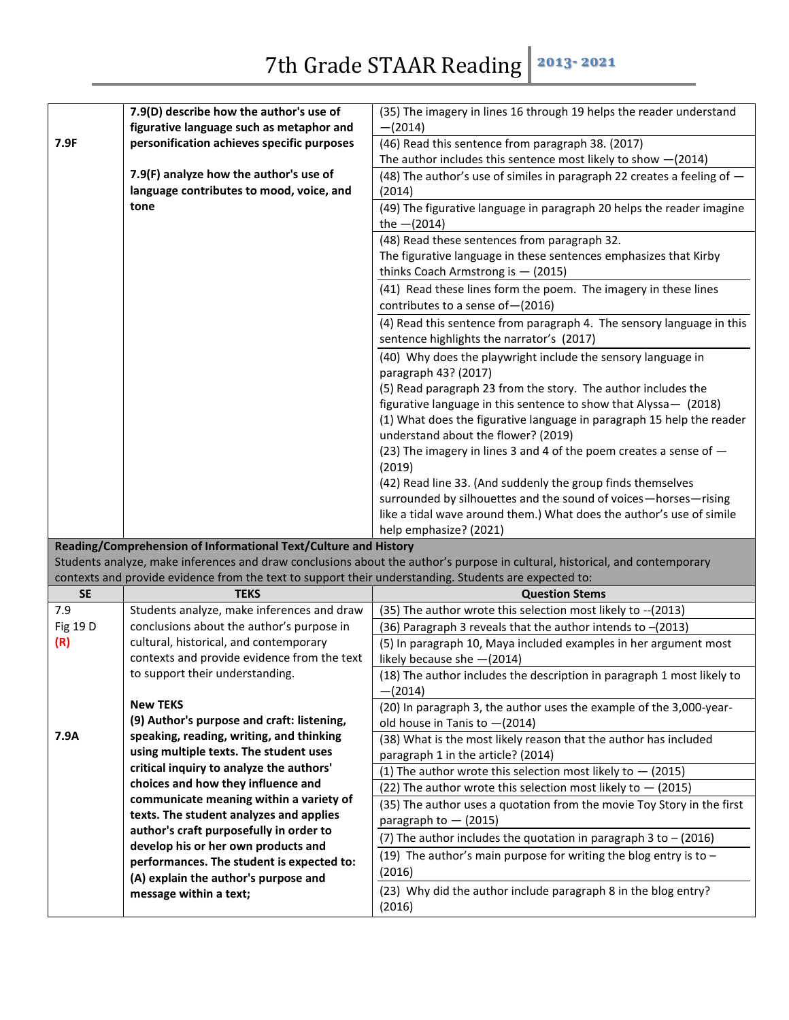|           | 7.9(D) describe how the author's use of                                                               | (35) The imagery in lines 16 through 19 helps the reader understand                                                         |
|-----------|-------------------------------------------------------------------------------------------------------|-----------------------------------------------------------------------------------------------------------------------------|
|           | figurative language such as metaphor and                                                              | $-(2014)$                                                                                                                   |
| 7.9F      | personification achieves specific purposes                                                            | (46) Read this sentence from paragraph 38. (2017)                                                                           |
|           |                                                                                                       | The author includes this sentence most likely to show $-(2014)$                                                             |
|           | 7.9(F) analyze how the author's use of                                                                | (48) The author's use of similes in paragraph 22 creates a feeling of -                                                     |
|           | language contributes to mood, voice, and                                                              | (2014)                                                                                                                      |
|           | tone                                                                                                  | (49) The figurative language in paragraph 20 helps the reader imagine                                                       |
|           |                                                                                                       | the $-(2014)$                                                                                                               |
|           |                                                                                                       | (48) Read these sentences from paragraph 32.                                                                                |
|           |                                                                                                       | The figurative language in these sentences emphasizes that Kirby                                                            |
|           |                                                                                                       | thinks Coach Armstrong is $-$ (2015)                                                                                        |
|           |                                                                                                       | (41) Read these lines form the poem. The imagery in these lines                                                             |
|           |                                                                                                       | contributes to a sense of - (2016)                                                                                          |
|           |                                                                                                       | (4) Read this sentence from paragraph 4. The sensory language in this                                                       |
|           |                                                                                                       | sentence highlights the narrator's (2017)                                                                                   |
|           |                                                                                                       | (40) Why does the playwright include the sensory language in                                                                |
|           |                                                                                                       | paragraph 43? (2017)                                                                                                        |
|           |                                                                                                       | (5) Read paragraph 23 from the story. The author includes the                                                               |
|           |                                                                                                       | figurative language in this sentence to show that Alyssa - (2018)                                                           |
|           |                                                                                                       | (1) What does the figurative language in paragraph 15 help the reader                                                       |
|           |                                                                                                       | understand about the flower? (2019)                                                                                         |
|           |                                                                                                       | (23) The imagery in lines 3 and 4 of the poem creates a sense of -                                                          |
|           |                                                                                                       | (2019)                                                                                                                      |
|           |                                                                                                       | (42) Read line 33. (And suddenly the group finds themselves                                                                 |
|           |                                                                                                       | surrounded by silhouettes and the sound of voices-horses-rising                                                             |
|           |                                                                                                       | like a tidal wave around them.) What does the author's use of simile                                                        |
|           |                                                                                                       | help emphasize? (2021)                                                                                                      |
|           | Reading/Comprehension of Informational Text/Culture and History                                       | Students analyze, make inferences and draw conclusions about the author's purpose in cultural, historical, and contemporary |
|           | contexts and provide evidence from the text to support their understanding. Students are expected to: |                                                                                                                             |
| <b>SE</b> | <b>TEKS</b>                                                                                           | <b>Question Stems</b>                                                                                                       |
| 7.9       | Students analyze, make inferences and draw                                                            | (35) The author wrote this selection most likely to -- (2013)                                                               |
| Fig 19 D  | conclusions about the author's purpose in                                                             | (36) Paragraph 3 reveals that the author intends to -(2013)                                                                 |
| (R)       | cultural, historical, and contemporary                                                                | (5) In paragraph 10, Maya included examples in her argument most                                                            |
|           | contexts and provide evidence from the text                                                           | likely because she -(2014)                                                                                                  |
|           | to support their understanding.                                                                       | (18) The author includes the description in paragraph 1 most likely to                                                      |
|           |                                                                                                       | $-(2014)$                                                                                                                   |
|           | <b>New TEKS</b>                                                                                       | (20) In paragraph 3, the author uses the example of the 3,000-year-                                                         |
|           | (9) Author's purpose and craft: listening,                                                            | old house in Tanis to $-(2014)$                                                                                             |
| 7.9A      | speaking, reading, writing, and thinking                                                              | (38) What is the most likely reason that the author has included                                                            |
|           | using multiple texts. The student uses                                                                | paragraph 1 in the article? (2014)                                                                                          |
|           | critical inquiry to analyze the authors'                                                              | (1) The author wrote this selection most likely to $-$ (2015)                                                               |
|           | choices and how they influence and                                                                    | (22) The author wrote this selection most likely to $-$ (2015)                                                              |
|           | communicate meaning within a variety of                                                               | (35) The author uses a quotation from the movie Toy Story in the first                                                      |
|           | texts. The student analyzes and applies                                                               | paragraph to $-$ (2015)                                                                                                     |
|           | author's craft purposefully in order to                                                               | (7) The author includes the quotation in paragraph 3 to $-$ (2016)                                                          |
|           | develop his or her own products and                                                                   | (19) The author's main purpose for writing the blog entry is to $-$                                                         |
|           | performances. The student is expected to:                                                             | (2016)                                                                                                                      |
|           | (A) explain the author's purpose and                                                                  | (23) Why did the author include paragraph 8 in the blog entry?                                                              |
|           | message within a text;                                                                                | (2016)                                                                                                                      |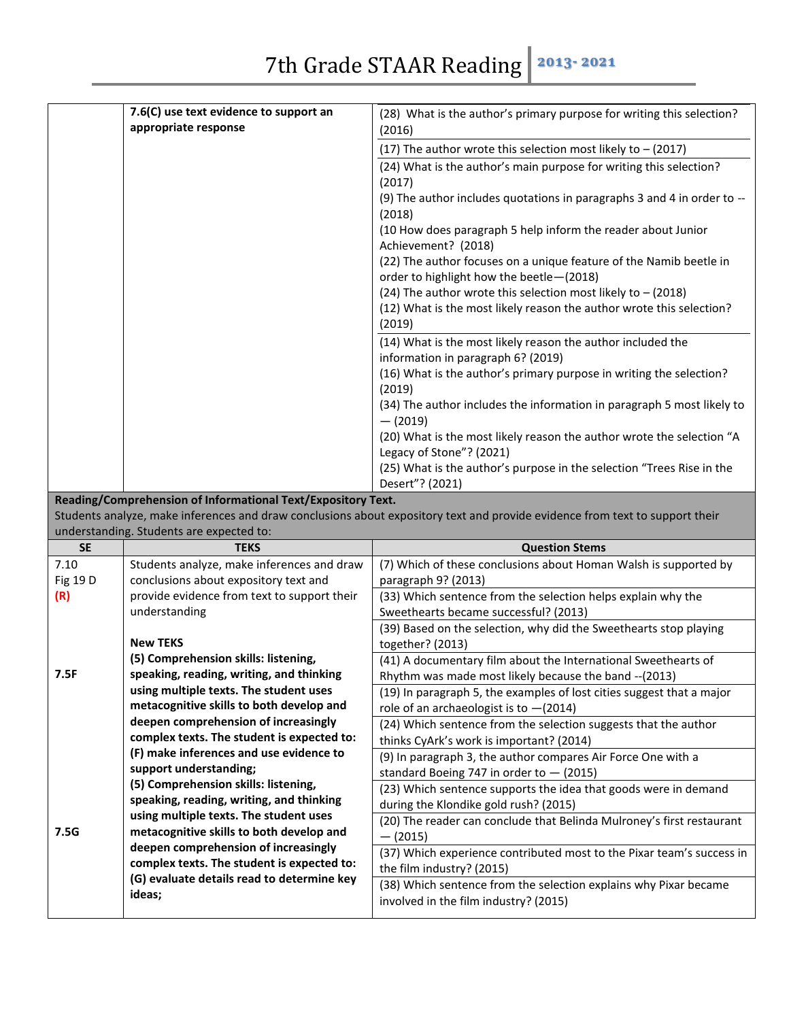| 7.6(C) use text evidence to support an                                                                                       | (28) What is the author's primary purpose for writing this selection?                                          |  |
|------------------------------------------------------------------------------------------------------------------------------|----------------------------------------------------------------------------------------------------------------|--|
| appropriate response                                                                                                         | (2016)                                                                                                         |  |
|                                                                                                                              | (17) The author wrote this selection most likely to $-$ (2017)                                                 |  |
|                                                                                                                              | (24) What is the author's main purpose for writing this selection?                                             |  |
|                                                                                                                              | (2017)                                                                                                         |  |
|                                                                                                                              | (9) The author includes quotations in paragraphs 3 and 4 in order to --<br>(2018)                              |  |
|                                                                                                                              | (10 How does paragraph 5 help inform the reader about Junior<br>Achievement? (2018)                            |  |
|                                                                                                                              | (22) The author focuses on a unique feature of the Namib beetle in<br>order to highlight how the beetle-(2018) |  |
|                                                                                                                              | (24) The author wrote this selection most likely to $-$ (2018)                                                 |  |
|                                                                                                                              | (12) What is the most likely reason the author wrote this selection?                                           |  |
|                                                                                                                              | (2019)                                                                                                         |  |
|                                                                                                                              | (14) What is the most likely reason the author included the<br>information in paragraph 6? (2019)              |  |
|                                                                                                                              | (16) What is the author's primary purpose in writing the selection?                                            |  |
|                                                                                                                              | (2019)                                                                                                         |  |
|                                                                                                                              | (34) The author includes the information in paragraph 5 most likely to<br>$-$ (2019)                           |  |
|                                                                                                                              | (20) What is the most likely reason the author wrote the selection "A                                          |  |
|                                                                                                                              | Legacy of Stone"? (2021)                                                                                       |  |
|                                                                                                                              | (25) What is the author's purpose in the selection "Trees Rise in the                                          |  |
|                                                                                                                              | Desert"? (2021)                                                                                                |  |
| Reading/Comprehension of Informational Text/Expository Text.                                                                 |                                                                                                                |  |
| Students analyze, make inferences and draw conclusions about expository text and provide evidence from text to support their |                                                                                                                |  |

Students analyze, make inferences and draw conclusions about expository text and provide evidence from text to support their understanding. Students are expected to:

| <b>SE</b> | <b>TEKS</b>                                 | <b>Question Stems</b>                                                 |
|-----------|---------------------------------------------|-----------------------------------------------------------------------|
| 7.10      | Students analyze, make inferences and draw  | (7) Which of these conclusions about Homan Walsh is supported by      |
| Fig 19 D  | conclusions about expository text and       | paragraph 9? (2013)                                                   |
| (R)       | provide evidence from text to support their | (33) Which sentence from the selection helps explain why the          |
|           | understanding                               | Sweethearts became successful? (2013)                                 |
|           |                                             | (39) Based on the selection, why did the Sweethearts stop playing     |
|           | <b>New TEKS</b>                             | together? (2013)                                                      |
|           | (5) Comprehension skills: listening,        | (41) A documentary film about the International Sweethearts of        |
| 7.5F      | speaking, reading, writing, and thinking    | Rhythm was made most likely because the band -- (2013)                |
|           | using multiple texts. The student uses      | (19) In paragraph 5, the examples of lost cities suggest that a major |
|           | metacognitive skills to both develop and    | role of an archaeologist is to $-(2014)$                              |
|           | deepen comprehension of increasingly        | (24) Which sentence from the selection suggests that the author       |
|           | complex texts. The student is expected to:  | thinks CyArk's work is important? (2014)                              |
|           | (F) make inferences and use evidence to     | (9) In paragraph 3, the author compares Air Force One with a          |
|           | support understanding;                      | standard Boeing 747 in order to $-$ (2015)                            |
|           | (5) Comprehension skills: listening,        | (23) Which sentence supports the idea that goods were in demand       |
|           | speaking, reading, writing, and thinking    | during the Klondike gold rush? (2015)                                 |
|           | using multiple texts. The student uses      | (20) The reader can conclude that Belinda Mulroney's first restaurant |
| 7.5G      | metacognitive skills to both develop and    | $-$ (2015)                                                            |
|           | deepen comprehension of increasingly        | (37) Which experience contributed most to the Pixar team's success in |
|           | complex texts. The student is expected to:  | the film industry? (2015)                                             |
|           | (G) evaluate details read to determine key  | (38) Which sentence from the selection explains why Pixar became      |
|           | ideas;                                      | involved in the film industry? (2015)                                 |
|           |                                             |                                                                       |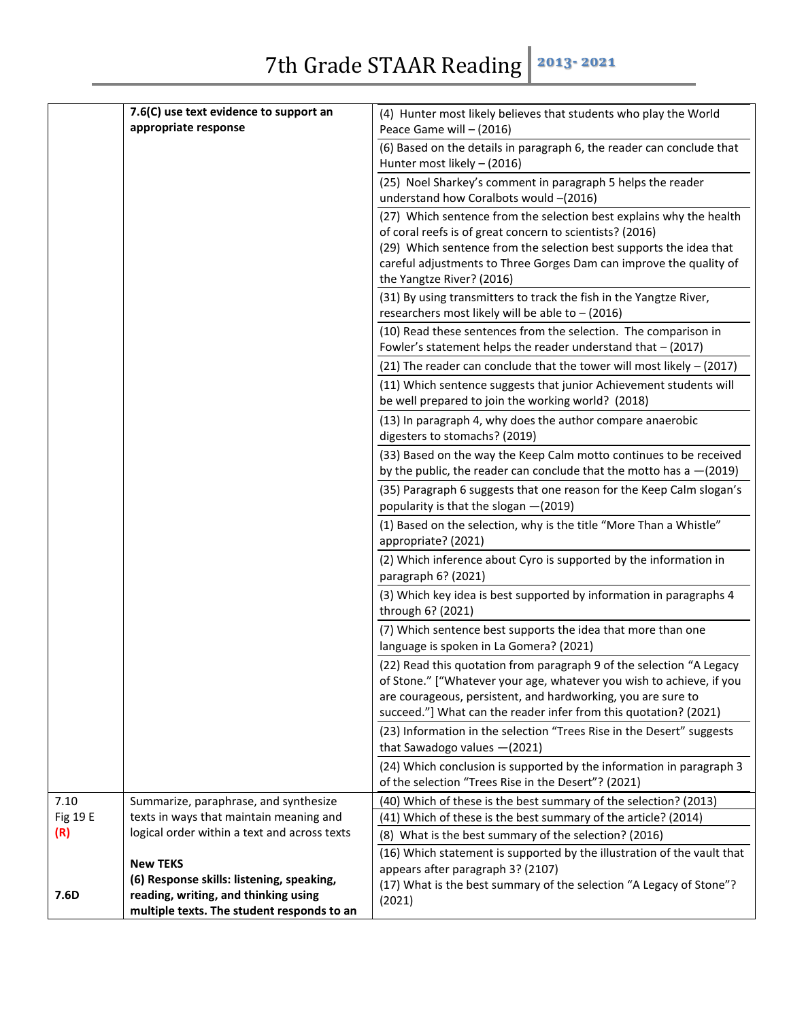|          | 7.6(C) use text evidence to support an       |                                                                                                                        |
|----------|----------------------------------------------|------------------------------------------------------------------------------------------------------------------------|
|          | appropriate response                         | (4) Hunter most likely believes that students who play the World<br>Peace Game will - (2016)                           |
|          |                                              | (6) Based on the details in paragraph 6, the reader can conclude that                                                  |
|          |                                              | Hunter most likely - (2016)                                                                                            |
|          |                                              | (25) Noel Sharkey's comment in paragraph 5 helps the reader                                                            |
|          |                                              | understand how Coralbots would -(2016)                                                                                 |
|          |                                              | (27) Which sentence from the selection best explains why the health                                                    |
|          |                                              | of coral reefs is of great concern to scientists? (2016)                                                               |
|          |                                              | (29) Which sentence from the selection best supports the idea that                                                     |
|          |                                              | careful adjustments to Three Gorges Dam can improve the quality of                                                     |
|          |                                              | the Yangtze River? (2016)                                                                                              |
|          |                                              | (31) By using transmitters to track the fish in the Yangtze River,<br>researchers most likely will be able to - (2016) |
|          |                                              | (10) Read these sentences from the selection. The comparison in                                                        |
|          |                                              | Fowler's statement helps the reader understand that - (2017)                                                           |
|          |                                              | (21) The reader can conclude that the tower will most likely - (2017)                                                  |
|          |                                              | (11) Which sentence suggests that junior Achievement students will                                                     |
|          |                                              | be well prepared to join the working world? (2018)                                                                     |
|          |                                              | (13) In paragraph 4, why does the author compare anaerobic                                                             |
|          |                                              | digesters to stomachs? (2019)                                                                                          |
|          |                                              | (33) Based on the way the Keep Calm motto continues to be received                                                     |
|          |                                              | by the public, the reader can conclude that the motto has a $-(2019)$                                                  |
|          |                                              | (35) Paragraph 6 suggests that one reason for the Keep Calm slogan's                                                   |
|          |                                              | popularity is that the slogan -(2019)                                                                                  |
|          |                                              | (1) Based on the selection, why is the title "More Than a Whistle"                                                     |
|          |                                              | appropriate? (2021)                                                                                                    |
|          |                                              | (2) Which inference about Cyro is supported by the information in<br>paragraph 6? (2021)                               |
|          |                                              | (3) Which key idea is best supported by information in paragraphs 4<br>through 6? (2021)                               |
|          |                                              | (7) Which sentence best supports the idea that more than one                                                           |
|          |                                              | language is spoken in La Gomera? (2021)                                                                                |
|          |                                              | (22) Read this quotation from paragraph 9 of the selection "A Legacy                                                   |
|          |                                              | of Stone." ["Whatever your age, whatever you wish to achieve, if you                                                   |
|          |                                              | are courageous, persistent, and hardworking, you are sure to                                                           |
|          |                                              | succeed."] What can the reader infer from this quotation? (2021)                                                       |
|          |                                              | (23) Information in the selection "Trees Rise in the Desert" suggests<br>that Sawadogo values $-(2021)$                |
|          |                                              | (24) Which conclusion is supported by the information in paragraph 3                                                   |
|          |                                              | of the selection "Trees Rise in the Desert"? (2021)                                                                    |
| 7.10     | Summarize, paraphrase, and synthesize        | (40) Which of these is the best summary of the selection? (2013)                                                       |
| Fig 19 E | texts in ways that maintain meaning and      | (41) Which of these is the best summary of the article? (2014)                                                         |
| (R)      | logical order within a text and across texts | (8) What is the best summary of the selection? (2016)                                                                  |
|          | <b>New TEKS</b>                              | (16) Which statement is supported by the illustration of the vault that                                                |
|          | (6) Response skills: listening, speaking,    | appears after paragraph 3? (2107)                                                                                      |
| 7.6D     | reading, writing, and thinking using         | (17) What is the best summary of the selection "A Legacy of Stone"?<br>(2021)                                          |
|          | multiple texts. The student responds to an   |                                                                                                                        |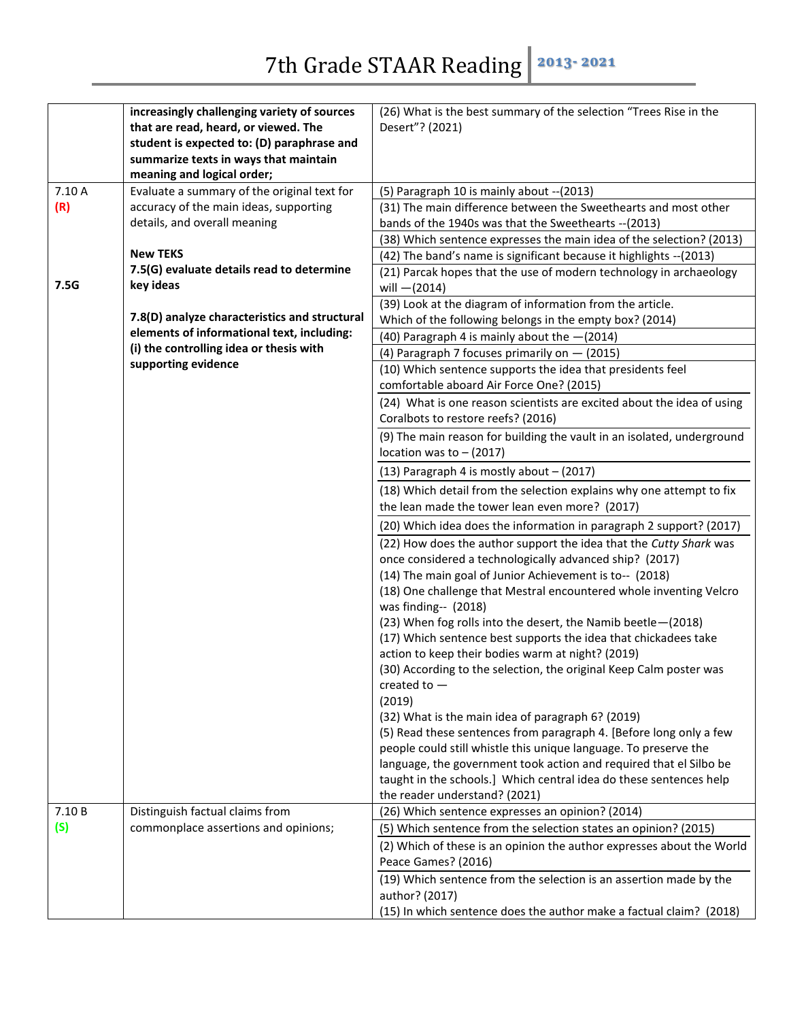|               | increasingly challenging variety of sources<br>that are read, heard, or viewed. The<br>student is expected to: (D) paraphrase and<br>summarize texts in ways that maintain<br>meaning and logical order; | (26) What is the best summary of the selection "Trees Rise in the<br>Desert"? (2021)                                                                                                                                                                                                                                                                                                                                                                                                                                                                                                                                                                                                                                                                                                                                                                                                                                                                                                                                                |
|---------------|----------------------------------------------------------------------------------------------------------------------------------------------------------------------------------------------------------|-------------------------------------------------------------------------------------------------------------------------------------------------------------------------------------------------------------------------------------------------------------------------------------------------------------------------------------------------------------------------------------------------------------------------------------------------------------------------------------------------------------------------------------------------------------------------------------------------------------------------------------------------------------------------------------------------------------------------------------------------------------------------------------------------------------------------------------------------------------------------------------------------------------------------------------------------------------------------------------------------------------------------------------|
| 7.10 A<br>(R) | Evaluate a summary of the original text for<br>accuracy of the main ideas, supporting<br>details, and overall meaning                                                                                    | (5) Paragraph 10 is mainly about -- (2013)<br>(31) The main difference between the Sweethearts and most other<br>bands of the 1940s was that the Sweethearts -- (2013)<br>(38) Which sentence expresses the main idea of the selection? (2013)                                                                                                                                                                                                                                                                                                                                                                                                                                                                                                                                                                                                                                                                                                                                                                                      |
| 7.5G          | <b>New TEKS</b><br>7.5(G) evaluate details read to determine<br>key ideas                                                                                                                                | (42) The band's name is significant because it highlights -- (2013)<br>(21) Parcak hopes that the use of modern technology in archaeology                                                                                                                                                                                                                                                                                                                                                                                                                                                                                                                                                                                                                                                                                                                                                                                                                                                                                           |
|               | 7.8(D) analyze characteristics and structural<br>elements of informational text, including:<br>(i) the controlling idea or thesis with                                                                   | will $-(2014)$<br>(39) Look at the diagram of information from the article.<br>Which of the following belongs in the empty box? (2014)<br>(40) Paragraph 4 is mainly about the $-(2014)$<br>(4) Paragraph 7 focuses primarily on $-$ (2015)                                                                                                                                                                                                                                                                                                                                                                                                                                                                                                                                                                                                                                                                                                                                                                                         |
|               | supporting evidence                                                                                                                                                                                      | (10) Which sentence supports the idea that presidents feel<br>comfortable aboard Air Force One? (2015)<br>(24) What is one reason scientists are excited about the idea of using<br>Coralbots to restore reefs? (2016)<br>(9) The main reason for building the vault in an isolated, underground                                                                                                                                                                                                                                                                                                                                                                                                                                                                                                                                                                                                                                                                                                                                    |
|               |                                                                                                                                                                                                          | location was to $-$ (2017)<br>$(13)$ Paragraph 4 is mostly about $-$ (2017)                                                                                                                                                                                                                                                                                                                                                                                                                                                                                                                                                                                                                                                                                                                                                                                                                                                                                                                                                         |
|               |                                                                                                                                                                                                          | (18) Which detail from the selection explains why one attempt to fix<br>the lean made the tower lean even more? (2017)                                                                                                                                                                                                                                                                                                                                                                                                                                                                                                                                                                                                                                                                                                                                                                                                                                                                                                              |
|               |                                                                                                                                                                                                          | (20) Which idea does the information in paragraph 2 support? (2017)<br>(22) How does the author support the idea that the Cutty Shark was<br>once considered a technologically advanced ship? (2017)<br>(14) The main goal of Junior Achievement is to-- (2018)<br>(18) One challenge that Mestral encountered whole inventing Velcro<br>was finding-- (2018)<br>(23) When fog rolls into the desert, the Namib beetle-(2018)<br>(17) Which sentence best supports the idea that chickadees take<br>action to keep their bodies warm at night? (2019)<br>(30) According to the selection, the original Keep Calm poster was<br>created to $-$<br>(2019)<br>(32) What is the main idea of paragraph 6? (2019)<br>(5) Read these sentences from paragraph 4. [Before long only a few<br>people could still whistle this unique language. To preserve the<br>language, the government took action and required that el Silbo be<br>taught in the schools.] Which central idea do these sentences help<br>the reader understand? (2021) |
| 7.10 B<br>(S) | Distinguish factual claims from<br>commonplace assertions and opinions;                                                                                                                                  | (26) Which sentence expresses an opinion? (2014)<br>(5) Which sentence from the selection states an opinion? (2015)<br>(2) Which of these is an opinion the author expresses about the World<br>Peace Games? (2016)                                                                                                                                                                                                                                                                                                                                                                                                                                                                                                                                                                                                                                                                                                                                                                                                                 |
|               |                                                                                                                                                                                                          | (19) Which sentence from the selection is an assertion made by the<br>author? (2017)<br>(15) In which sentence does the author make a factual claim? (2018)                                                                                                                                                                                                                                                                                                                                                                                                                                                                                                                                                                                                                                                                                                                                                                                                                                                                         |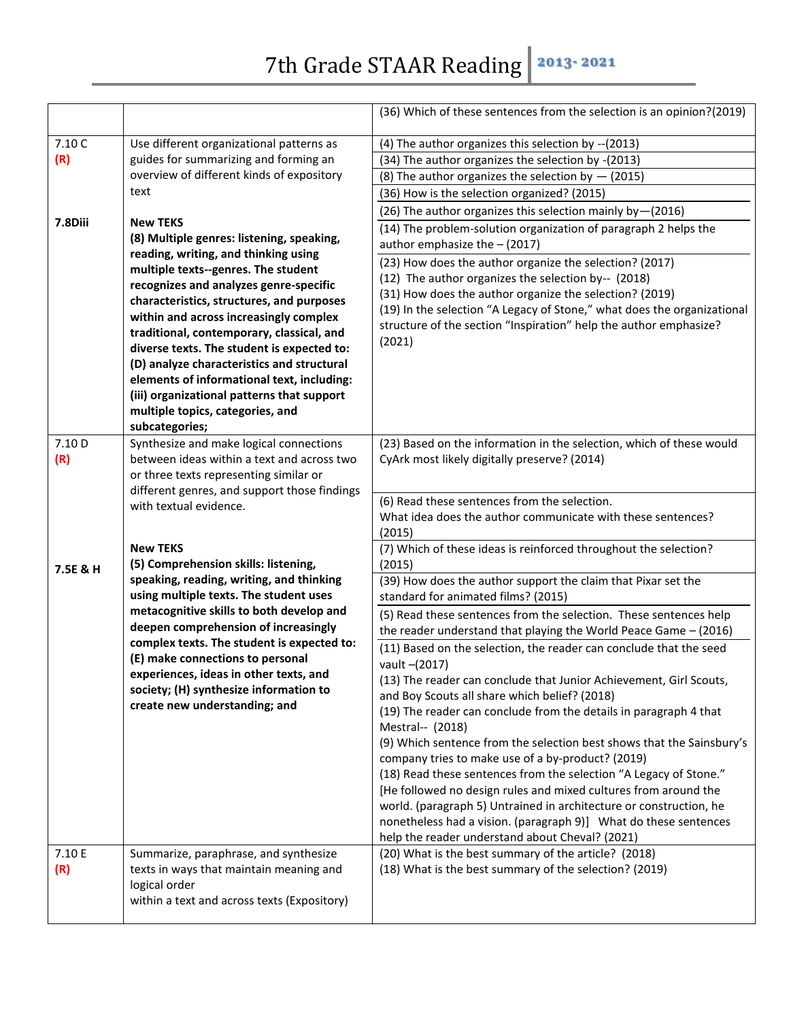|                          |                                                                                                                                                                                                                                                                                                                                                                                                                                                                                                                                                                                                                                                                                                                   | (36) Which of these sentences from the selection is an opinion?(2019)                                                                                                                                                                                                                                                                                                                                                                                                                                                                                                                                                                                                                                                                                                                                                                      |
|--------------------------|-------------------------------------------------------------------------------------------------------------------------------------------------------------------------------------------------------------------------------------------------------------------------------------------------------------------------------------------------------------------------------------------------------------------------------------------------------------------------------------------------------------------------------------------------------------------------------------------------------------------------------------------------------------------------------------------------------------------|--------------------------------------------------------------------------------------------------------------------------------------------------------------------------------------------------------------------------------------------------------------------------------------------------------------------------------------------------------------------------------------------------------------------------------------------------------------------------------------------------------------------------------------------------------------------------------------------------------------------------------------------------------------------------------------------------------------------------------------------------------------------------------------------------------------------------------------------|
| 7.10 C<br>(R)<br>7.8Diii | Use different organizational patterns as<br>guides for summarizing and forming an<br>overview of different kinds of expository<br>text<br><b>New TEKS</b><br>(8) Multiple genres: listening, speaking,<br>reading, writing, and thinking using<br>multiple texts--genres. The student<br>recognizes and analyzes genre-specific<br>characteristics, structures, and purposes<br>within and across increasingly complex<br>traditional, contemporary, classical, and<br>diverse texts. The student is expected to:<br>(D) analyze characteristics and structural<br>elements of informational text, including:<br>(iii) organizational patterns that support<br>multiple topics, categories, and<br>subcategories; | (4) The author organizes this selection by -- (2013)<br>(34) The author organizes the selection by -(2013)<br>(8) The author organizes the selection by $-$ (2015)<br>(36) How is the selection organized? (2015)<br>(26) The author organizes this selection mainly by-(2016)<br>(14) The problem-solution organization of paragraph 2 helps the<br>author emphasize the - (2017)<br>(23) How does the author organize the selection? (2017)<br>(12) The author organizes the selection by-- (2018)<br>(31) How does the author organize the selection? (2019)<br>(19) In the selection "A Legacy of Stone," what does the organizational<br>structure of the section "Inspiration" help the author emphasize?<br>(2021)                                                                                                                  |
| 7.10 D<br>(R)            | Synthesize and make logical connections<br>between ideas within a text and across two<br>or three texts representing similar or<br>different genres, and support those findings                                                                                                                                                                                                                                                                                                                                                                                                                                                                                                                                   | (23) Based on the information in the selection, which of these would<br>CyArk most likely digitally preserve? (2014)                                                                                                                                                                                                                                                                                                                                                                                                                                                                                                                                                                                                                                                                                                                       |
|                          | with textual evidence.                                                                                                                                                                                                                                                                                                                                                                                                                                                                                                                                                                                                                                                                                            | (6) Read these sentences from the selection.<br>What idea does the author communicate with these sentences?<br>(2015)                                                                                                                                                                                                                                                                                                                                                                                                                                                                                                                                                                                                                                                                                                                      |
| 7.5E & H                 | <b>New TEKS</b><br>(5) Comprehension skills: listening,<br>speaking, reading, writing, and thinking                                                                                                                                                                                                                                                                                                                                                                                                                                                                                                                                                                                                               | (7) Which of these ideas is reinforced throughout the selection?<br>(2015)<br>(39) How does the author support the claim that Pixar set the                                                                                                                                                                                                                                                                                                                                                                                                                                                                                                                                                                                                                                                                                                |
|                          | using multiple texts. The student uses<br>metacognitive skills to both develop and<br>deepen comprehension of increasingly                                                                                                                                                                                                                                                                                                                                                                                                                                                                                                                                                                                        | standard for animated films? (2015)<br>(5) Read these sentences from the selection. These sentences help                                                                                                                                                                                                                                                                                                                                                                                                                                                                                                                                                                                                                                                                                                                                   |
|                          | complex texts. The student is expected to:<br>(E) make connections to personal<br>experiences, ideas in other texts, and<br>society; (H) synthesize information to<br>create new understanding; and                                                                                                                                                                                                                                                                                                                                                                                                                                                                                                               | the reader understand that playing the World Peace Game - (2016)<br>(11) Based on the selection, the reader can conclude that the seed<br>vault -(2017)<br>(13) The reader can conclude that Junior Achievement, Girl Scouts,<br>and Boy Scouts all share which belief? (2018)<br>(19) The reader can conclude from the details in paragraph 4 that<br>Mestral-- (2018)<br>(9) Which sentence from the selection best shows that the Sainsbury's<br>company tries to make use of a by-product? (2019)<br>(18) Read these sentences from the selection "A Legacy of Stone."<br>[He followed no design rules and mixed cultures from around the<br>world. (paragraph 5) Untrained in architecture or construction, he<br>nonetheless had a vision. (paragraph 9)] What do these sentences<br>help the reader understand about Cheval? (2021) |
| 7.10 E<br>(R)            | Summarize, paraphrase, and synthesize<br>texts in ways that maintain meaning and<br>logical order<br>within a text and across texts (Expository)                                                                                                                                                                                                                                                                                                                                                                                                                                                                                                                                                                  | (20) What is the best summary of the article? (2018)<br>(18) What is the best summary of the selection? (2019)                                                                                                                                                                                                                                                                                                                                                                                                                                                                                                                                                                                                                                                                                                                             |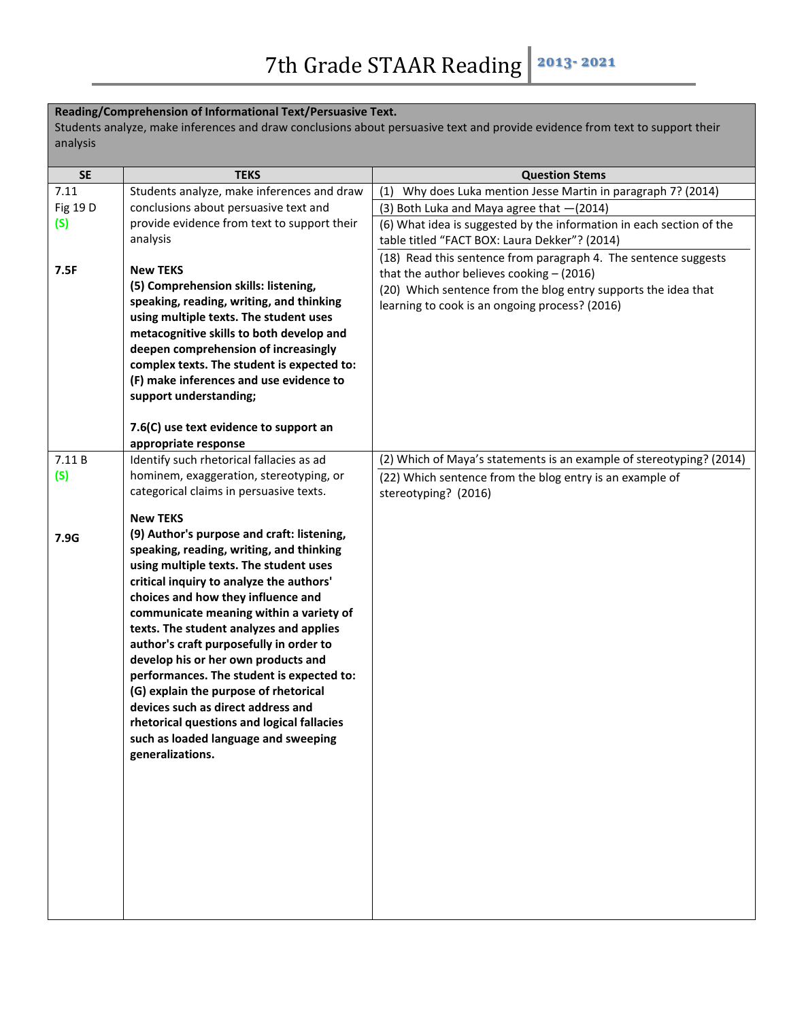## **Reading/Comprehension of Informational Text/Persuasive Text.**

Students analyze, make inferences and draw conclusions about persuasive text and provide evidence from text to support their analysis

| <b>SE</b> | <b>TEKS</b>                                                                                                                                                                                                                                                                                                                                                                                                                                                                                                                                                                                                                      | <b>Question Stems</b>                                                                                                                                                                                                              |
|-----------|----------------------------------------------------------------------------------------------------------------------------------------------------------------------------------------------------------------------------------------------------------------------------------------------------------------------------------------------------------------------------------------------------------------------------------------------------------------------------------------------------------------------------------------------------------------------------------------------------------------------------------|------------------------------------------------------------------------------------------------------------------------------------------------------------------------------------------------------------------------------------|
| 7.11      | Students analyze, make inferences and draw                                                                                                                                                                                                                                                                                                                                                                                                                                                                                                                                                                                       | (1) Why does Luka mention Jesse Martin in paragraph 7? (2014)                                                                                                                                                                      |
| Fig 19 D  | conclusions about persuasive text and                                                                                                                                                                                                                                                                                                                                                                                                                                                                                                                                                                                            | (3) Both Luka and Maya agree that $-(2014)$                                                                                                                                                                                        |
| (S)       | provide evidence from text to support their<br>analysis                                                                                                                                                                                                                                                                                                                                                                                                                                                                                                                                                                          | (6) What idea is suggested by the information in each section of the<br>table titled "FACT BOX: Laura Dekker"? (2014)                                                                                                              |
| 7.5F      | <b>New TEKS</b><br>(5) Comprehension skills: listening,<br>speaking, reading, writing, and thinking<br>using multiple texts. The student uses<br>metacognitive skills to both develop and<br>deepen comprehension of increasingly<br>complex texts. The student is expected to:<br>(F) make inferences and use evidence to<br>support understanding;                                                                                                                                                                                                                                                                             | (18) Read this sentence from paragraph 4. The sentence suggests<br>that the author believes cooking $-$ (2016)<br>(20) Which sentence from the blog entry supports the idea that<br>learning to cook is an ongoing process? (2016) |
|           | 7.6(C) use text evidence to support an                                                                                                                                                                                                                                                                                                                                                                                                                                                                                                                                                                                           |                                                                                                                                                                                                                                    |
| 7.11B     | appropriate response<br>Identify such rhetorical fallacies as ad                                                                                                                                                                                                                                                                                                                                                                                                                                                                                                                                                                 | (2) Which of Maya's statements is an example of stereotyping? (2014)                                                                                                                                                               |
| (S)       | hominem, exaggeration, stereotyping, or<br>categorical claims in persuasive texts.                                                                                                                                                                                                                                                                                                                                                                                                                                                                                                                                               | (22) Which sentence from the blog entry is an example of<br>stereotyping? (2016)                                                                                                                                                   |
|           | <b>New TEKS</b>                                                                                                                                                                                                                                                                                                                                                                                                                                                                                                                                                                                                                  |                                                                                                                                                                                                                                    |
| 7.9G      | (9) Author's purpose and craft: listening,<br>speaking, reading, writing, and thinking<br>using multiple texts. The student uses<br>critical inquiry to analyze the authors'<br>choices and how they influence and<br>communicate meaning within a variety of<br>texts. The student analyzes and applies<br>author's craft purposefully in order to<br>develop his or her own products and<br>performances. The student is expected to:<br>(G) explain the purpose of rhetorical<br>devices such as direct address and<br>rhetorical questions and logical fallacies<br>such as loaded language and sweeping<br>generalizations. |                                                                                                                                                                                                                                    |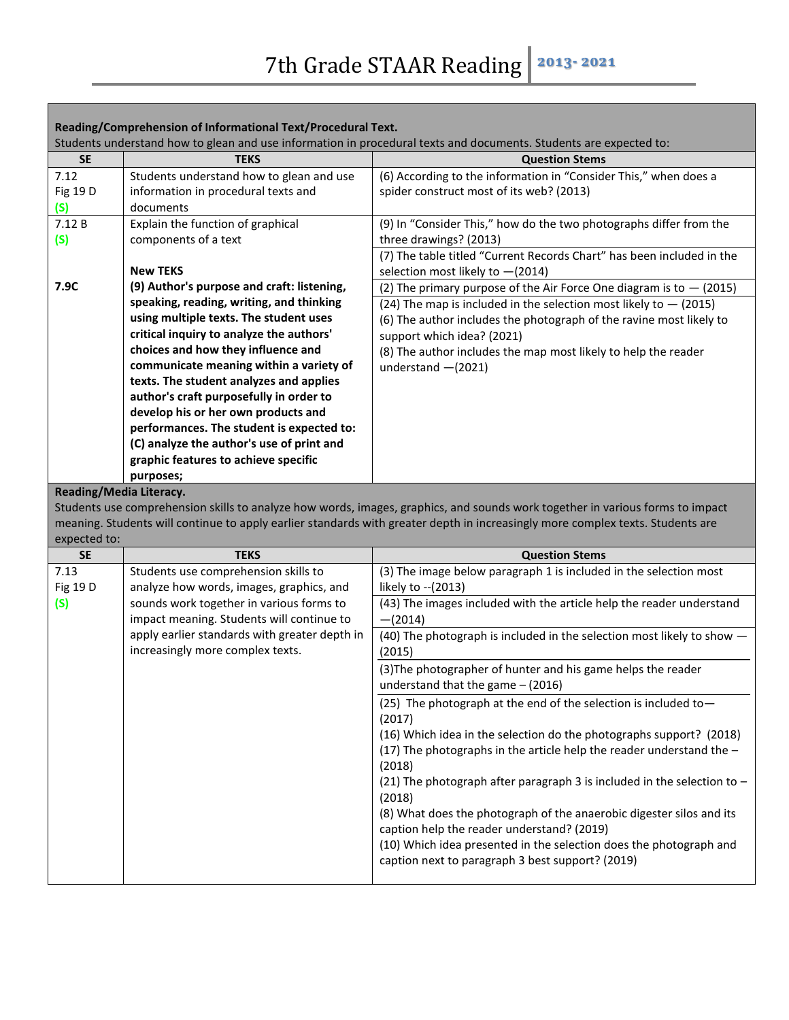Г

| Reading/Comprehension of Informational Text/Procedural Text. |                                                                                    |                                                                                                                                |
|--------------------------------------------------------------|------------------------------------------------------------------------------------|--------------------------------------------------------------------------------------------------------------------------------|
|                                                              |                                                                                    | Students understand how to glean and use information in procedural texts and documents. Students are expected to:              |
| <b>SE</b><br>7.12                                            | <b>TEKS</b><br>Students understand how to glean and use                            | <b>Question Stems</b><br>(6) According to the information in "Consider This," when does a                                      |
| Fig 19 D                                                     | information in procedural texts and                                                | spider construct most of its web? (2013)                                                                                       |
| (S)                                                          | documents                                                                          |                                                                                                                                |
| 7.12 B                                                       | Explain the function of graphical                                                  | (9) In "Consider This," how do the two photographs differ from the                                                             |
| (S)                                                          | components of a text                                                               | three drawings? (2013)                                                                                                         |
|                                                              |                                                                                    | (7) The table titled "Current Records Chart" has been included in the                                                          |
|                                                              | <b>New TEKS</b>                                                                    | selection most likely to -(2014)                                                                                               |
| 7.9C                                                         | (9) Author's purpose and craft: listening,                                         | (2) The primary purpose of the Air Force One diagram is to $-$ (2015)                                                          |
|                                                              | speaking, reading, writing, and thinking                                           | (24) The map is included in the selection most likely to $-$ (2015)                                                            |
|                                                              | using multiple texts. The student uses                                             | (6) The author includes the photograph of the ravine most likely to                                                            |
|                                                              | critical inquiry to analyze the authors'                                           | support which idea? (2021)                                                                                                     |
|                                                              | choices and how they influence and                                                 | (8) The author includes the map most likely to help the reader                                                                 |
|                                                              | communicate meaning within a variety of                                            | understand $-(2021)$                                                                                                           |
|                                                              | texts. The student analyzes and applies<br>author's craft purposefully in order to |                                                                                                                                |
|                                                              | develop his or her own products and                                                |                                                                                                                                |
|                                                              | performances. The student is expected to:                                          |                                                                                                                                |
|                                                              | (C) analyze the author's use of print and                                          |                                                                                                                                |
|                                                              | graphic features to achieve specific                                               |                                                                                                                                |
|                                                              | purposes;                                                                          |                                                                                                                                |
| <b>Reading/Media Literacy.</b>                               |                                                                                    |                                                                                                                                |
|                                                              |                                                                                    |                                                                                                                                |
|                                                              |                                                                                    | Students use comprehension skills to analyze how words, images, graphics, and sounds work together in various forms to impact  |
|                                                              |                                                                                    | meaning. Students will continue to apply earlier standards with greater depth in increasingly more complex texts. Students are |
| expected to:                                                 |                                                                                    |                                                                                                                                |
| <b>SE</b>                                                    | <b>TEKS</b>                                                                        | <b>Question Stems</b>                                                                                                          |
| 7.13<br>Fig 19 D                                             | Students use comprehension skills to<br>analyze how words, images, graphics, and   | (3) The image below paragraph 1 is included in the selection most<br>likely to -- (2013)                                       |
| (S)                                                          | sounds work together in various forms to                                           | (43) The images included with the article help the reader understand                                                           |
|                                                              | impact meaning. Students will continue to                                          | $-(2014)$                                                                                                                      |
|                                                              | apply earlier standards with greater depth in<br>increasingly more complex texts.  | (40) The photograph is included in the selection most likely to show -<br>(2015)                                               |
|                                                              |                                                                                    | (3) The photographer of hunter and his game helps the reader                                                                   |
|                                                              |                                                                                    | understand that the game $-$ (2016)                                                                                            |
|                                                              |                                                                                    | (25) The photograph at the end of the selection is included to-<br>(2017)                                                      |
|                                                              |                                                                                    | (16) Which idea in the selection do the photographs support? (2018)                                                            |
|                                                              |                                                                                    | (17) The photographs in the article help the reader understand the $-$                                                         |
|                                                              |                                                                                    | (2018)                                                                                                                         |
|                                                              |                                                                                    | (21) The photograph after paragraph 3 is included in the selection to $-$                                                      |
|                                                              |                                                                                    | (2018)                                                                                                                         |
|                                                              |                                                                                    | (8) What does the photograph of the anaerobic digester silos and its                                                           |
|                                                              |                                                                                    | caption help the reader understand? (2019)<br>(10) Which idea presented in the selection does the photograph and               |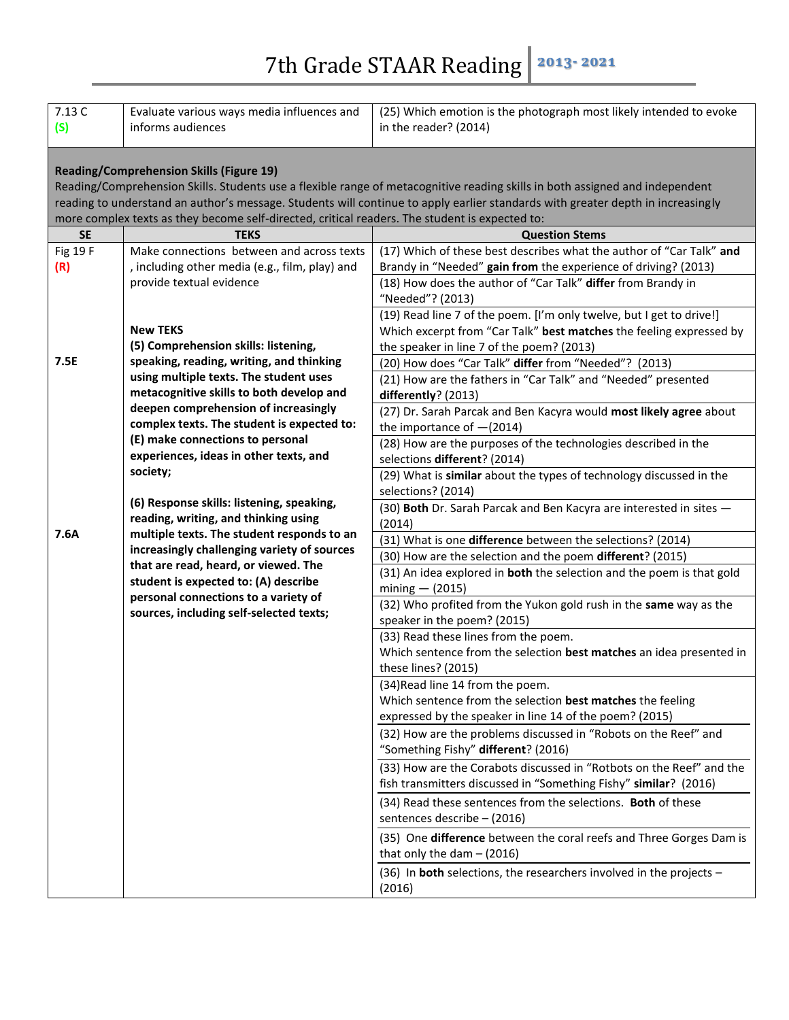| 7.13 C<br>(S)                                                                                                                                                                                                                                                                                                      | Evaluate various ways media influences and<br>informs audiences                                               | (25) Which emotion is the photograph most likely intended to evoke<br>in the reader? (2014)                                              |
|--------------------------------------------------------------------------------------------------------------------------------------------------------------------------------------------------------------------------------------------------------------------------------------------------------------------|---------------------------------------------------------------------------------------------------------------|------------------------------------------------------------------------------------------------------------------------------------------|
| <b>Reading/Comprehension Skills (Figure 19)</b><br>Reading/Comprehension Skills. Students use a flexible range of metacognitive reading skills in both assigned and independent<br>reading to understand an author's message. Students will continue to apply earlier standards with greater depth in increasingly |                                                                                                               |                                                                                                                                          |
| <b>SE</b>                                                                                                                                                                                                                                                                                                          | more complex texts as they become self-directed, critical readers. The student is expected to:<br><b>TEKS</b> | <b>Question Stems</b>                                                                                                                    |
| Fig 19 F                                                                                                                                                                                                                                                                                                           | Make connections between and across texts                                                                     | (17) Which of these best describes what the author of "Car Talk" and                                                                     |
| (R)                                                                                                                                                                                                                                                                                                                | , including other media (e.g., film, play) and                                                                | Brandy in "Needed" gain from the experience of driving? (2013)                                                                           |
|                                                                                                                                                                                                                                                                                                                    | provide textual evidence                                                                                      | (18) How does the author of "Car Talk" differ from Brandy in                                                                             |
|                                                                                                                                                                                                                                                                                                                    |                                                                                                               | "Needed"? (2013)                                                                                                                         |
|                                                                                                                                                                                                                                                                                                                    |                                                                                                               | (19) Read line 7 of the poem. [I'm only twelve, but I get to drive!]                                                                     |
|                                                                                                                                                                                                                                                                                                                    | <b>New TEKS</b>                                                                                               | Which excerpt from "Car Talk" best matches the feeling expressed by                                                                      |
|                                                                                                                                                                                                                                                                                                                    | (5) Comprehension skills: listening,                                                                          | the speaker in line 7 of the poem? (2013)                                                                                                |
| 7.5E                                                                                                                                                                                                                                                                                                               | speaking, reading, writing, and thinking                                                                      | (20) How does "Car Talk" differ from "Needed"? (2013)                                                                                    |
|                                                                                                                                                                                                                                                                                                                    | using multiple texts. The student uses                                                                        | (21) How are the fathers in "Car Talk" and "Needed" presented                                                                            |
|                                                                                                                                                                                                                                                                                                                    | metacognitive skills to both develop and                                                                      | differently? (2013)                                                                                                                      |
|                                                                                                                                                                                                                                                                                                                    | deepen comprehension of increasingly                                                                          | (27) Dr. Sarah Parcak and Ben Kacyra would most likely agree about                                                                       |
|                                                                                                                                                                                                                                                                                                                    | complex texts. The student is expected to:                                                                    | the importance of $-(2014)$                                                                                                              |
|                                                                                                                                                                                                                                                                                                                    | (E) make connections to personal                                                                              | (28) How are the purposes of the technologies described in the                                                                           |
|                                                                                                                                                                                                                                                                                                                    | experiences, ideas in other texts, and                                                                        | selections different? (2014)                                                                                                             |
|                                                                                                                                                                                                                                                                                                                    | society;                                                                                                      | (29) What is similar about the types of technology discussed in the                                                                      |
|                                                                                                                                                                                                                                                                                                                    | (6) Response skills: listening, speaking,                                                                     | selections? (2014)                                                                                                                       |
|                                                                                                                                                                                                                                                                                                                    | reading, writing, and thinking using                                                                          | (30) Both Dr. Sarah Parcak and Ben Kacyra are interested in sites -                                                                      |
| 7.6A                                                                                                                                                                                                                                                                                                               | multiple texts. The student responds to an                                                                    | (2014)                                                                                                                                   |
|                                                                                                                                                                                                                                                                                                                    | increasingly challenging variety of sources                                                                   | (31) What is one difference between the selections? (2014)                                                                               |
|                                                                                                                                                                                                                                                                                                                    | that are read, heard, or viewed. The                                                                          | (30) How are the selection and the poem different? (2015)                                                                                |
|                                                                                                                                                                                                                                                                                                                    | student is expected to: (A) describe                                                                          | (31) An idea explored in both the selection and the poem is that gold                                                                    |
|                                                                                                                                                                                                                                                                                                                    | personal connections to a variety of                                                                          | $mining - (2015)$                                                                                                                        |
|                                                                                                                                                                                                                                                                                                                    | sources, including self-selected texts;                                                                       | (32) Who profited from the Yukon gold rush in the same way as the<br>speaker in the poem? (2015)                                         |
|                                                                                                                                                                                                                                                                                                                    |                                                                                                               | (33) Read these lines from the poem.                                                                                                     |
|                                                                                                                                                                                                                                                                                                                    |                                                                                                               | Which sentence from the selection best matches an idea presented in                                                                      |
|                                                                                                                                                                                                                                                                                                                    |                                                                                                               | these lines? (2015)                                                                                                                      |
|                                                                                                                                                                                                                                                                                                                    |                                                                                                               | (34) Read line 14 from the poem.                                                                                                         |
|                                                                                                                                                                                                                                                                                                                    |                                                                                                               | Which sentence from the selection best matches the feeling                                                                               |
|                                                                                                                                                                                                                                                                                                                    |                                                                                                               | expressed by the speaker in line 14 of the poem? (2015)                                                                                  |
|                                                                                                                                                                                                                                                                                                                    |                                                                                                               | (32) How are the problems discussed in "Robots on the Reef" and<br>"Something Fishy" different? (2016)                                   |
|                                                                                                                                                                                                                                                                                                                    |                                                                                                               | (33) How are the Corabots discussed in "Rotbots on the Reef" and the<br>fish transmitters discussed in "Something Fishy" similar? (2016) |
|                                                                                                                                                                                                                                                                                                                    |                                                                                                               | (34) Read these sentences from the selections. <b>Both</b> of these<br>sentences describe - (2016)                                       |
|                                                                                                                                                                                                                                                                                                                    |                                                                                                               | (35) One difference between the coral reefs and Three Gorges Dam is<br>that only the dam $-$ (2016)                                      |
|                                                                                                                                                                                                                                                                                                                    |                                                                                                               | (36) In both selections, the researchers involved in the projects -<br>(2016)                                                            |